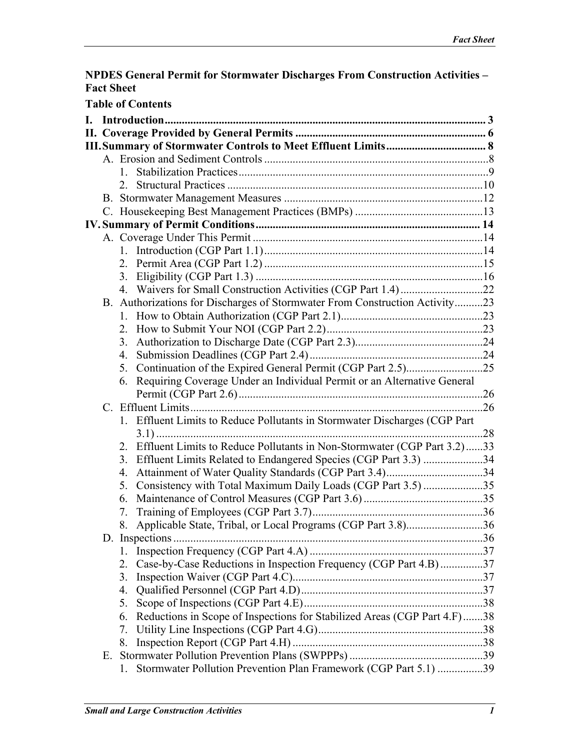### **NPDES General Permit for Stormwater Discharges From Construction Activities – Fact Sheet**

| <b>Table of Contents</b> |    |                                                                                |  |  |  |  |
|--------------------------|----|--------------------------------------------------------------------------------|--|--|--|--|
|                          |    |                                                                                |  |  |  |  |
|                          |    |                                                                                |  |  |  |  |
|                          |    |                                                                                |  |  |  |  |
|                          |    |                                                                                |  |  |  |  |
|                          |    |                                                                                |  |  |  |  |
|                          |    |                                                                                |  |  |  |  |
|                          |    |                                                                                |  |  |  |  |
|                          |    |                                                                                |  |  |  |  |
|                          |    |                                                                                |  |  |  |  |
|                          |    |                                                                                |  |  |  |  |
|                          |    |                                                                                |  |  |  |  |
|                          |    |                                                                                |  |  |  |  |
|                          |    |                                                                                |  |  |  |  |
|                          |    |                                                                                |  |  |  |  |
|                          |    | B. Authorizations for Discharges of Stormwater From Construction Activity23    |  |  |  |  |
|                          |    |                                                                                |  |  |  |  |
|                          |    |                                                                                |  |  |  |  |
|                          |    | 3.                                                                             |  |  |  |  |
|                          |    |                                                                                |  |  |  |  |
|                          |    | 5. Continuation of the Expired General Permit (CGP Part 2.5)25                 |  |  |  |  |
|                          |    | 6. Requiring Coverage Under an Individual Permit or an Alternative General     |  |  |  |  |
|                          |    |                                                                                |  |  |  |  |
|                          |    |                                                                                |  |  |  |  |
|                          |    | 1. Effluent Limits to Reduce Pollutants in Stormwater Discharges (CGP Part     |  |  |  |  |
|                          |    |                                                                                |  |  |  |  |
|                          |    | 2. Effluent Limits to Reduce Pollutants in Non-Stormwater (CGP Part 3.2)33     |  |  |  |  |
|                          |    | 3. Effluent Limits Related to Endangered Species (CGP Part 3.3) 34             |  |  |  |  |
|                          |    | 4.                                                                             |  |  |  |  |
|                          |    | Consistency with Total Maximum Daily Loads (CGP Part 3.5) 35<br>5.             |  |  |  |  |
|                          |    | 6.                                                                             |  |  |  |  |
|                          |    |                                                                                |  |  |  |  |
|                          |    | 8. Applicable State, Tribal, or Local Programs (CGP Part 3.8)36                |  |  |  |  |
|                          |    | D. Inspections                                                                 |  |  |  |  |
|                          |    | 1.                                                                             |  |  |  |  |
|                          |    | Case-by-Case Reductions in Inspection Frequency (CGP Part 4.B)37<br>2.         |  |  |  |  |
|                          |    | 3.                                                                             |  |  |  |  |
|                          |    | 4.                                                                             |  |  |  |  |
|                          |    | 5.                                                                             |  |  |  |  |
|                          |    | Reductions in Scope of Inspections for Stabilized Areas (CGP Part 4.F)38<br>6. |  |  |  |  |
|                          |    | 7.                                                                             |  |  |  |  |
|                          |    | 8.                                                                             |  |  |  |  |
|                          | Е. |                                                                                |  |  |  |  |
|                          |    | Stormwater Pollution Prevention Plan Framework (CGP Part 5.1) 39<br>1.         |  |  |  |  |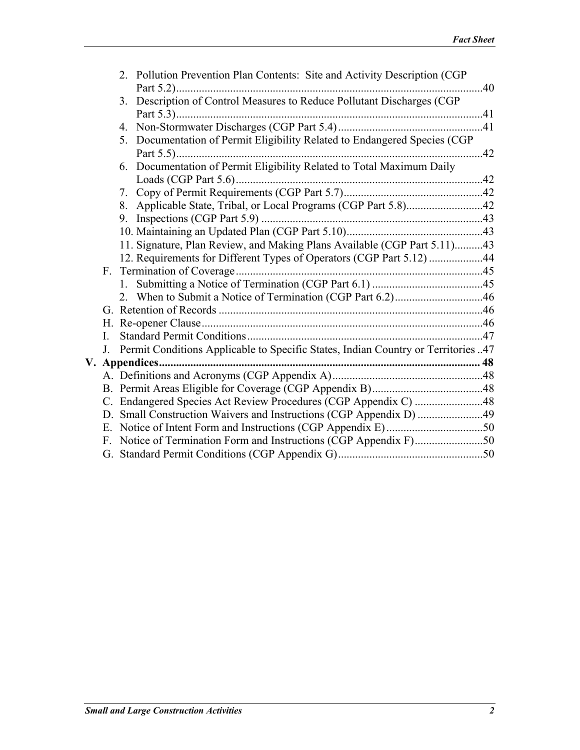|    |              | 2. Pollution Prevention Plan Contents: Site and Activity Description (CGP)        |  |
|----|--------------|-----------------------------------------------------------------------------------|--|
|    |              | 3. Description of Control Measures to Reduce Pollutant Discharges (CGP)           |  |
|    |              |                                                                                   |  |
|    |              | 4.                                                                                |  |
|    |              | 5. Documentation of Permit Eligibility Related to Endangered Species (CGP         |  |
|    |              | 6. Documentation of Permit Eligibility Related to Total Maximum Daily             |  |
|    |              |                                                                                   |  |
|    |              |                                                                                   |  |
|    |              |                                                                                   |  |
|    |              |                                                                                   |  |
|    |              |                                                                                   |  |
|    |              | 11. Signature, Plan Review, and Making Plans Available (CGP Part 5.11)43          |  |
|    |              | 12. Requirements for Different Types of Operators (CGP Part 5.12) 44              |  |
|    |              |                                                                                   |  |
|    |              |                                                                                   |  |
|    |              |                                                                                   |  |
|    |              |                                                                                   |  |
|    |              |                                                                                   |  |
|    | $\mathbf{I}$ |                                                                                   |  |
|    | $J_{\cdot}$  | Permit Conditions Applicable to Specific States, Indian Country or Territories 47 |  |
| V. |              |                                                                                   |  |
|    |              |                                                                                   |  |
|    |              |                                                                                   |  |
|    |              | C. Endangered Species Act Review Procedures (CGP Appendix C) 48                   |  |
|    |              |                                                                                   |  |
|    | E.           |                                                                                   |  |
|    | F            |                                                                                   |  |
|    |              |                                                                                   |  |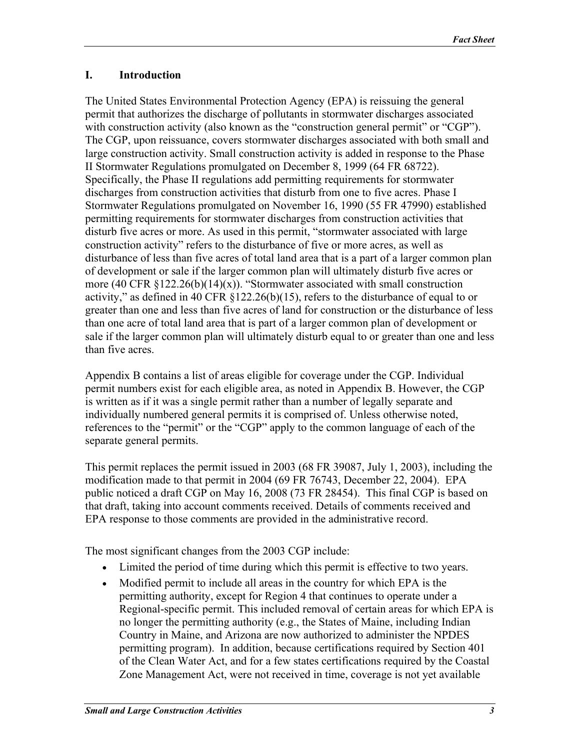### <span id="page-2-0"></span>**I. Introduction**

The United States Environmental Protection Agency (EPA) is reissuing the general permit that authorizes the discharge of pollutants in stormwater discharges associated with construction activity (also known as the "construction general permit" or "CGP"). The CGP, upon reissuance, covers stormwater discharges associated with both small and large construction activity. Small construction activity is added in response to the Phase II Stormwater Regulations promulgated on December 8, 1999 (64 FR 68722). Specifically, the Phase II regulations add permitting requirements for stormwater discharges from construction activities that disturb from one to five acres. Phase I Stormwater Regulations promulgated on November 16, 1990 (55 FR 47990) established permitting requirements for stormwater discharges from construction activities that disturb five acres or more. As used in this permit, "stormwater associated with large construction activity" refers to the disturbance of five or more acres, as well as disturbance of less than five acres of total land area that is a part of a larger common plan of development or sale if the larger common plan will ultimately disturb five acres or more (40 CFR  $\S 122.26(b)(14)(x)$ ). "Stormwater associated with small construction activity," as defined in 40 CFR §122.26(b)(15), refers to the disturbance of equal to or greater than one and less than five acres of land for construction or the disturbance of less than one acre of total land area that is part of a larger common plan of development or sale if the larger common plan will ultimately disturb equal to or greater than one and less than five acres.

Appendix B contains a list of areas eligible for coverage under the CGP. Individual permit numbers exist for each eligible area, as noted in Appendix B. However, the CGP is written as if it was a single permit rather than a number of legally separate and individually numbered general permits it is comprised of. Unless otherwise noted, references to the "permit" or the "CGP" apply to the common language of each of the separate general permits.

This permit replaces the permit issued in 2003 (68 FR 39087, July 1, 2003), including the modification made to that permit in 2004 (69 FR 76743, December 22, 2004). EPA public noticed a draft CGP on May 16, 2008 (73 FR 28454). This final CGP is based on that draft, taking into account comments received. Details of comments received and EPA response to those comments are provided in the administrative record.

The most significant changes from the 2003 CGP include:

- Limited the period of time during which this permit is effective to two years.
- Modified permit to include all areas in the country for which EPA is the permitting authority, except for Region 4 that continues to operate under a Regional-specific permit. This included removal of certain areas for which EPA is no longer the permitting authority (e.g., the States of Maine, including Indian Country in Maine, and Arizona are now authorized to administer the NPDES permitting program). In addition, because certifications required by Section 401 of the Clean Water Act, and for a few states certifications required by the Coastal Zone Management Act, were not received in time, coverage is not yet available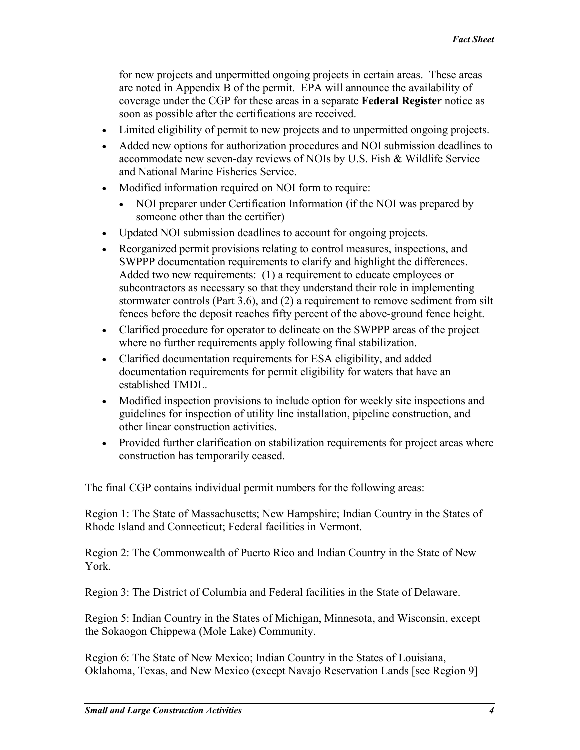for new projects and unpermitted ongoing projects in certain areas. These areas are noted in Appendix B of the permit. EPA will announce the availability of coverage under the CGP for these areas in a separate **Federal Register** notice as soon as possible after the certifications are received.

- Limited eligibility of permit to new projects and to unpermitted ongoing projects.
- Added new options for authorization procedures and NOI submission deadlines to accommodate new seven-day reviews of NOIs by U.S. Fish & Wildlife Service and National Marine Fisheries Service.
- Modified information required on NOI form to require:
	- NOI preparer under Certification Information (if the NOI was prepared by someone other than the certifier)
- Updated NOI submission deadlines to account for ongoing projects.
- Reorganized permit provisions relating to control measures, inspections, and SWPPP documentation requirements to clarify and highlight the differences. Added two new requirements: (1) a requirement to educate employees or subcontractors as necessary so that they understand their role in implementing stormwater controls (Part 3.6), and (2) a requirement to remove sediment from silt fences before the deposit reaches fifty percent of the above-ground fence height.
- Clarified procedure for operator to delineate on the SWPPP areas of the project where no further requirements apply following final stabilization.
- Clarified documentation requirements for ESA eligibility, and added documentation requirements for permit eligibility for waters that have an established TMDL.
- Modified inspection provisions to include option for weekly site inspections and guidelines for inspection of utility line installation, pipeline construction, and other linear construction activities.
- Provided further clarification on stabilization requirements for project areas where construction has temporarily ceased.

The final CGP contains individual permit numbers for the following areas:

Region 1: The State of Massachusetts; New Hampshire; Indian Country in the States of Rhode Island and Connecticut; Federal facilities in Vermont.

Region 2: The Commonwealth of Puerto Rico and Indian Country in the State of New York.

Region 3: The District of Columbia and Federal facilities in the State of Delaware.

Region 5: Indian Country in the States of Michigan, Minnesota, and Wisconsin, except the Sokaogon Chippewa (Mole Lake) Community.

Region 6: The State of New Mexico; Indian Country in the States of Louisiana, Oklahoma, Texas, and New Mexico (except Navajo Reservation Lands [see Region 9]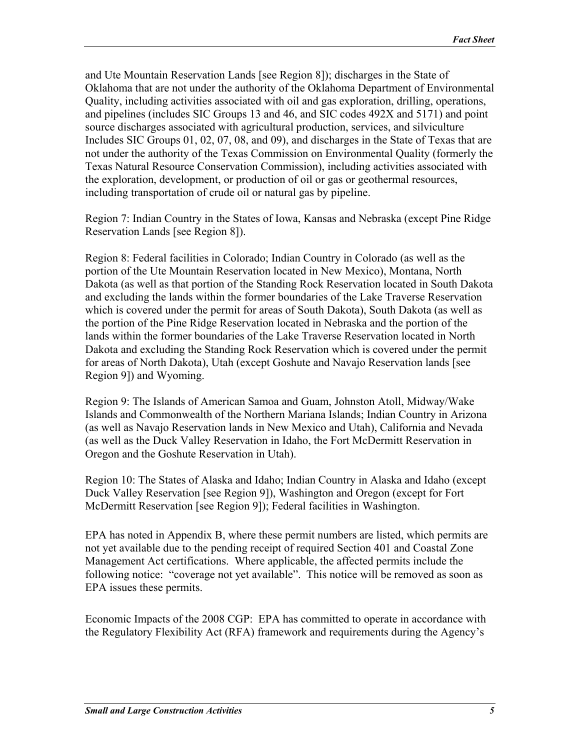and Ute Mountain Reservation Lands [see Region 8]); discharges in the State of Oklahoma that are not under the authority of the Oklahoma Department of Environmental Quality, including activities associated with oil and gas exploration, drilling, operations, and pipelines (includes SIC Groups 13 and 46, and SIC codes 492X and 5171) and point source discharges associated with agricultural production, services, and silviculture Includes SIC Groups 01, 02, 07, 08, and 09), and discharges in the State of Texas that are not under the authority of the Texas Commission on Environmental Quality (formerly the Texas Natural Resource Conservation Commission), including activities associated with the exploration, development, or production of oil or gas or geothermal resources, including transportation of crude oil or natural gas by pipeline.

Region 7: Indian Country in the States of Iowa, Kansas and Nebraska (except Pine Ridge Reservation Lands [see Region 8]).

Region 8: Federal facilities in Colorado; Indian Country in Colorado (as well as the portion of the Ute Mountain Reservation located in New Mexico), Montana, North Dakota (as well as that portion of the Standing Rock Reservation located in South Dakota and excluding the lands within the former boundaries of the Lake Traverse Reservation which is covered under the permit for areas of South Dakota), South Dakota (as well as the portion of the Pine Ridge Reservation located in Nebraska and the portion of the lands within the former boundaries of the Lake Traverse Reservation located in North Dakota and excluding the Standing Rock Reservation which is covered under the permit for areas of North Dakota), Utah (except Goshute and Navajo Reservation lands [see Region 9]) and Wyoming.

Region 9: The Islands of American Samoa and Guam, Johnston Atoll, Midway/Wake Islands and Commonwealth of the Northern Mariana Islands; Indian Country in Arizona (as well as Navajo Reservation lands in New Mexico and Utah), California and Nevada (as well as the Duck Valley Reservation in Idaho, the Fort McDermitt Reservation in Oregon and the Goshute Reservation in Utah).

Region 10: The States of Alaska and Idaho; Indian Country in Alaska and Idaho (except Duck Valley Reservation [see Region 9]), Washington and Oregon (except for Fort McDermitt Reservation [see Region 9]); Federal facilities in Washington.

EPA has noted in Appendix B, where these permit numbers are listed, which permits are not yet available due to the pending receipt of required Section 401 and Coastal Zone Management Act certifications. Where applicable, the affected permits include the following notice: "coverage not yet available". This notice will be removed as soon as EPA issues these permits.

Economic Impacts of the 2008 CGP: EPA has committed to operate in accordance with the Regulatory Flexibility Act (RFA) framework and requirements during the Agency's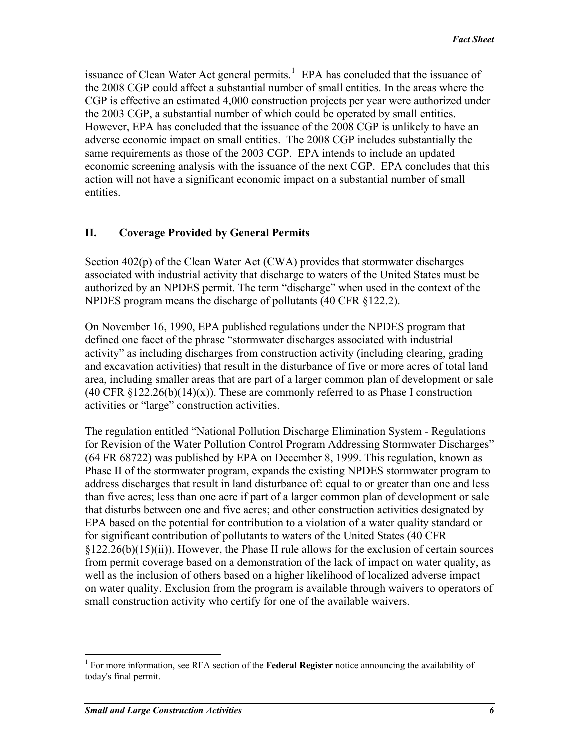<span id="page-5-0"></span>issuance of Clean Water Act general permits.<sup>[1](#page-5-1)</sup> EPA has concluded that the issuance of the 2008 CGP could affect a substantial number of small entities. In the areas where the CGP is effective an estimated 4,000 construction projects per year were authorized under the 2003 CGP, a substantial number of which could be operated by small entities. However, EPA has concluded that the issuance of the 2008 CGP is unlikely to have an adverse economic impact on small entities. The 2008 CGP includes substantially the same requirements as those of the 2003 CGP. EPA intends to include an updated economic screening analysis with the issuance of the next CGP. EPA concludes that this action will not have a significant economic impact on a substantial number of small entities.

#### **II. Coverage Provided by General Permits**

Section 402(p) of the Clean Water Act (CWA) provides that stormwater discharges associated with industrial activity that discharge to waters of the United States must be authorized by an NPDES permit. The term "discharge" when used in the context of the NPDES program means the discharge of pollutants (40 CFR §122.2).

On November 16, 1990, EPA published regulations under the NPDES program that defined one facet of the phrase "stormwater discharges associated with industrial activity" as including discharges from construction activity (including clearing, grading and excavation activities) that result in the disturbance of five or more acres of total land area, including smaller areas that are part of a larger common plan of development or sale  $(40 \text{ CFR } \{122.26(b)(14)(x)\})$ . These are commonly referred to as Phase I construction activities or "large" construction activities.

The regulation entitled "National Pollution Discharge Elimination System - Regulations for Revision of the Water Pollution Control Program Addressing Stormwater Discharges" (64 FR 68722) was published by EPA on December 8, 1999. This regulation, known as Phase II of the stormwater program, expands the existing NPDES stormwater program to address discharges that result in land disturbance of: equal to or greater than one and less than five acres; less than one acre if part of a larger common plan of development or sale that disturbs between one and five acres; and other construction activities designated by EPA based on the potential for contribution to a violation of a water quality standard or for significant contribution of pollutants to waters of the United States (40 CFR §122.26(b)(15)(ii)). However, the Phase II rule allows for the exclusion of certain sources from permit coverage based on a demonstration of the lack of impact on water quality, as well as the inclusion of others based on a higher likelihood of localized adverse impact on water quality. Exclusion from the program is available through waivers to operators of small construction activity who certify for one of the available waivers.

 $\overline{a}$ 

<span id="page-5-1"></span><sup>&</sup>lt;sup>1</sup> For more information, see RFA section of the **Federal Register** notice announcing the availability of today's final permit.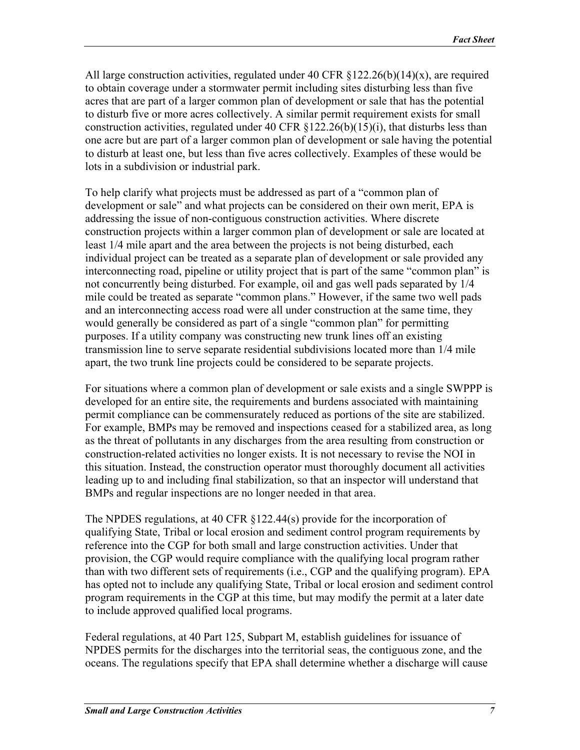All large construction activities, regulated under 40 CFR  $\S 122.26(b)(14)(x)$ , are required to obtain coverage under a stormwater permit including sites disturbing less than five acres that are part of a larger common plan of development or sale that has the potential to disturb five or more acres collectively. A similar permit requirement exists for small construction activities, regulated under 40 CFR  $\S 122.26(b)(15)(i)$ , that disturbs less than one acre but are part of a larger common plan of development or sale having the potential to disturb at least one, but less than five acres collectively. Examples of these would be lots in a subdivision or industrial park.

To help clarify what projects must be addressed as part of a "common plan of development or sale" and what projects can be considered on their own merit, EPA is addressing the issue of non-contiguous construction activities. Where discrete construction projects within a larger common plan of development or sale are located at least 1/4 mile apart and the area between the projects is not being disturbed, each individual project can be treated as a separate plan of development or sale provided any interconnecting road, pipeline or utility project that is part of the same "common plan" is not concurrently being disturbed. For example, oil and gas well pads separated by 1/4 mile could be treated as separate "common plans." However, if the same two well pads and an interconnecting access road were all under construction at the same time, they would generally be considered as part of a single "common plan" for permitting purposes. If a utility company was constructing new trunk lines off an existing transmission line to serve separate residential subdivisions located more than 1/4 mile apart, the two trunk line projects could be considered to be separate projects.

For situations where a common plan of development or sale exists and a single SWPPP is developed for an entire site, the requirements and burdens associated with maintaining permit compliance can be commensurately reduced as portions of the site are stabilized. For example, BMPs may be removed and inspections ceased for a stabilized area, as long as the threat of pollutants in any discharges from the area resulting from construction or construction-related activities no longer exists. It is not necessary to revise the NOI in this situation. Instead, the construction operator must thoroughly document all activities leading up to and including final stabilization, so that an inspector will understand that BMPs and regular inspections are no longer needed in that area.

The NPDES regulations, at 40 CFR §122.44(s) provide for the incorporation of qualifying State, Tribal or local erosion and sediment control program requirements by reference into the CGP for both small and large construction activities. Under that provision, the CGP would require compliance with the qualifying local program rather than with two different sets of requirements (i.e., CGP and the qualifying program). EPA has opted not to include any qualifying State, Tribal or local erosion and sediment control program requirements in the CGP at this time, but may modify the permit at a later date to include approved qualified local programs.

Federal regulations, at 40 Part 125, Subpart M, establish guidelines for issuance of NPDES permits for the discharges into the territorial seas, the contiguous zone, and the oceans. The regulations specify that EPA shall determine whether a discharge will cause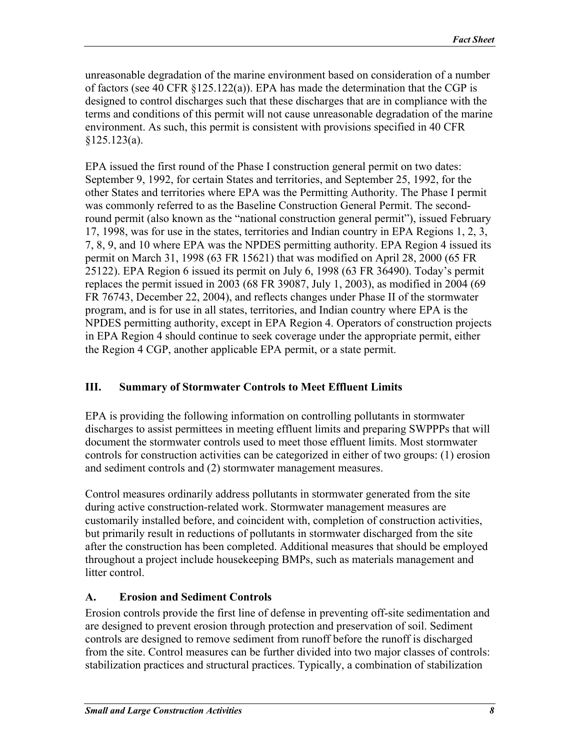<span id="page-7-0"></span>unreasonable degradation of the marine environment based on consideration of a number of factors (see 40 CFR §125.122(a)). EPA has made the determination that the CGP is designed to control discharges such that these discharges that are in compliance with the terms and conditions of this permit will not cause unreasonable degradation of the marine environment. As such, this permit is consistent with provisions specified in 40 CFR  $§125.123(a).$ 

EPA issued the first round of the Phase I construction general permit on two dates: September 9, 1992, for certain States and territories, and September 25, 1992, for the other States and territories where EPA was the Permitting Authority. The Phase I permit was commonly referred to as the Baseline Construction General Permit. The secondround permit (also known as the "national construction general permit"), issued February 17, 1998, was for use in the states, territories and Indian country in EPA Regions 1, 2, 3, 7, 8, 9, and 10 where EPA was the NPDES permitting authority. EPA Region 4 issued its permit on March 31, 1998 (63 FR 15621) that was modified on April 28, 2000 (65 FR 25122). EPA Region 6 issued its permit on July 6, 1998 (63 FR 36490). Today's permit replaces the permit issued in 2003 (68 FR 39087, July 1, 2003), as modified in 2004 (69 FR 76743, December 22, 2004), and reflects changes under Phase II of the stormwater program, and is for use in all states, territories, and Indian country where EPA is the NPDES permitting authority, except in EPA Region 4. Operators of construction projects in EPA Region 4 should continue to seek coverage under the appropriate permit, either the Region 4 CGP, another applicable EPA permit, or a state permit.

## **III. Summary of Stormwater Controls to Meet Effluent Limits**

EPA is providing the following information on controlling pollutants in stormwater discharges to assist permittees in meeting effluent limits and preparing SWPPPs that will document the stormwater controls used to meet those effluent limits. Most stormwater controls for construction activities can be categorized in either of two groups: (1) erosion and sediment controls and (2) stormwater management measures.

Control measures ordinarily address pollutants in stormwater generated from the site during active construction-related work. Stormwater management measures are customarily installed before, and coincident with, completion of construction activities, but primarily result in reductions of pollutants in stormwater discharged from the site after the construction has been completed. Additional measures that should be employed throughout a project include housekeeping BMPs, such as materials management and litter control.

## **A. Erosion and Sediment Controls**

Erosion controls provide the first line of defense in preventing off-site sedimentation and are designed to prevent erosion through protection and preservation of soil. Sediment controls are designed to remove sediment from runoff before the runoff is discharged from the site. Control measures can be further divided into two major classes of controls: stabilization practices and structural practices. Typically, a combination of stabilization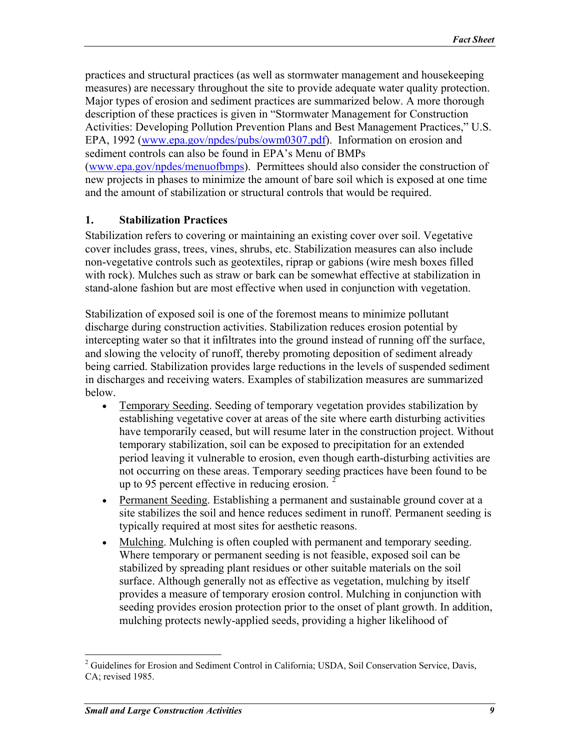<span id="page-8-0"></span>practices and structural practices (as well as stormwater management and housekeeping measures) are necessary throughout the site to provide adequate water quality protection. Major types of erosion and sediment practices are summarized below. A more thorough description of these practices is given in "Stormwater Management for Construction Activities: Developing Pollution Prevention Plans and Best Management Practices," U.S. EPA, 1992 ([www.epa.gov/npdes/pubs/owm0307.pdf\)](http://www.epa.gov/npdes/pubs/owm0307.pdf). Information on erosion and sediment controls can also be found in EPA's Menu of BMPs ([www.epa.gov/npdes/menuofbmps\)](http://www.epa.gov/npdes/menuofbmps). Permittees should also consider the construction of new projects in phases to minimize the amount of bare soil which is exposed at one time and the amount of stabilization or structural controls that would be required.

#### **1. Stabilization Practices**

Stabilization refers to covering or maintaining an existing cover over soil. Vegetative cover includes grass, trees, vines, shrubs, etc. Stabilization measures can also include non-vegetative controls such as geotextiles, riprap or gabions (wire mesh boxes filled with rock). Mulches such as straw or bark can be somewhat effective at stabilization in stand-alone fashion but are most effective when used in conjunction with vegetation.

Stabilization of exposed soil is one of the foremost means to minimize pollutant discharge during construction activities. Stabilization reduces erosion potential by intercepting water so that it infiltrates into the ground instead of running off the surface, and slowing the velocity of runoff, thereby promoting deposition of sediment already being carried. Stabilization provides large reductions in the levels of suspended sediment in discharges and receiving waters. Examples of stabilization measures are summarized below.

- Temporary Seeding. Seeding of temporary vegetation provides stabilization by establishing vegetative cover at areas of the site where earth disturbing activities have temporarily ceased, but will resume later in the construction project. Without temporary stabilization, soil can be exposed to precipitation for an extended period leaving it vulnerable to erosion, even though earth-disturbing activities are not occurring on these areas. Temporary seeding practices have been found to be up to 95 percent effective in reducing erosion.
- Permanent Seeding. Establishing a permanent and sustainable ground cover at a site stabilizes the soil and hence reduces sediment in runoff. Permanent seeding is typically required at most sites for aesthetic reasons.
- Mulching. Mulching is often coupled with permanent and temporary seeding. Where temporary or permanent seeding is not feasible, exposed soil can be stabilized by spreading plant residues or other suitable materials on the soil surface. Although generally not as effective as vegetation, mulching by itself provides a measure of temporary erosion control. Mulching in conjunction with seeding provides erosion protection prior to the onset of plant growth. In addition, mulching protects newly-applied seeds, providing a higher likelihood of

 $\overline{a}$ 

<span id="page-8-1"></span><sup>&</sup>lt;sup>2</sup> Guidelines for Erosion and Sediment Control in California; USDA, Soil Conservation Service, Davis, CA; revised 1985.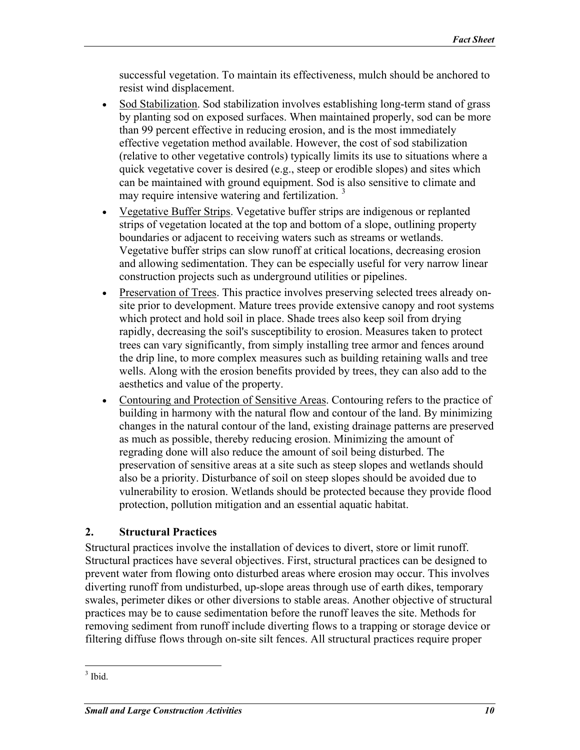<span id="page-9-0"></span>successful vegetation. To maintain its effectiveness, mulch should be anchored to resist wind displacement.

- Sod Stabilization. Sod stabilization involves establishing long-term stand of grass by planting sod on exposed surfaces. When maintained properly, sod can be more than 99 percent effective in reducing erosion, and is the most immediately effective vegetation method available. However, the cost of sod stabilization (relative to other vegetative controls) typically limits its use to situations where a quick vegetative cover is desired (e.g., steep or erodible slopes) and sites which can be maintained with ground equipment. Sod is also sensitive to climate and may require intensive watering and fertilization.<sup>[3](#page-9-1)</sup>
- Vegetative Buffer Strips. Vegetative buffer strips are indigenous or replanted strips of vegetation located at the top and bottom of a slope, outlining property boundaries or adjacent to receiving waters such as streams or wetlands. Vegetative buffer strips can slow runoff at critical locations, decreasing erosion and allowing sedimentation. They can be especially useful for very narrow linear construction projects such as underground utilities or pipelines.
- Preservation of Trees. This practice involves preserving selected trees already onsite prior to development. Mature trees provide extensive canopy and root systems which protect and hold soil in place. Shade trees also keep soil from drying rapidly, decreasing the soil's susceptibility to erosion. Measures taken to protect trees can vary significantly, from simply installing tree armor and fences around the drip line, to more complex measures such as building retaining walls and tree wells. Along with the erosion benefits provided by trees, they can also add to the aesthetics and value of the property.
- Contouring and Protection of Sensitive Areas. Contouring refers to the practice of building in harmony with the natural flow and contour of the land. By minimizing changes in the natural contour of the land, existing drainage patterns are preserved as much as possible, thereby reducing erosion. Minimizing the amount of regrading done will also reduce the amount of soil being disturbed. The preservation of sensitive areas at a site such as steep slopes and wetlands should also be a priority. Disturbance of soil on steep slopes should be avoided due to vulnerability to erosion. Wetlands should be protected because they provide flood protection, pollution mitigation and an essential aquatic habitat.

## **2. Structural Practices**

Structural practices involve the installation of devices to divert, store or limit runoff. Structural practices have several objectives. First, structural practices can be designed to prevent water from flowing onto disturbed areas where erosion may occur. This involves diverting runoff from undisturbed, up-slope areas through use of earth dikes, temporary swales, perimeter dikes or other diversions to stable areas. Another objective of structural practices may be to cause sedimentation before the runoff leaves the site. Methods for removing sediment from runoff include diverting flows to a trapping or storage device or filtering diffuse flows through on-site silt fences. All structural practices require proper

<span id="page-9-1"></span> $\frac{1}{3}$  Ibid.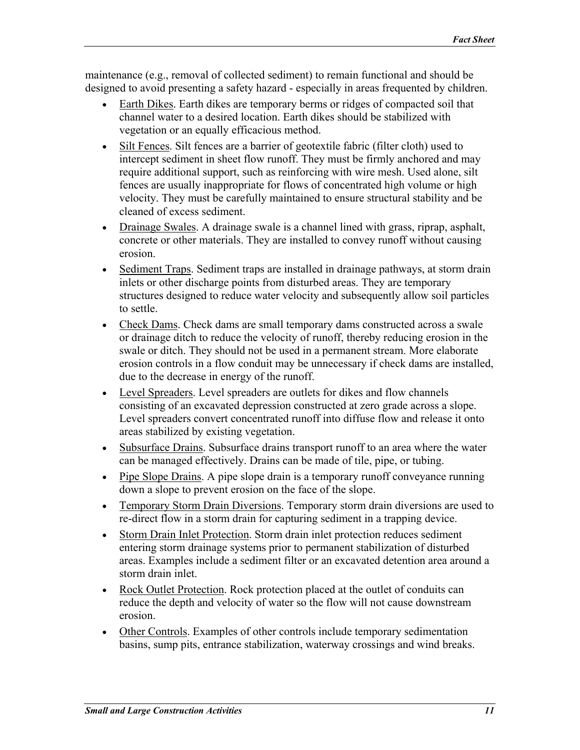maintenance (e.g., removal of collected sediment) to remain functional and should be designed to avoid presenting a safety hazard - especially in areas frequented by children.

- Earth Dikes. Earth dikes are temporary berms or ridges of compacted soil that channel water to a desired location. Earth dikes should be stabilized with vegetation or an equally efficacious method.
- Silt Fences. Silt fences are a barrier of geotextile fabric (filter cloth) used to intercept sediment in sheet flow runoff. They must be firmly anchored and may require additional support, such as reinforcing with wire mesh. Used alone, silt fences are usually inappropriate for flows of concentrated high volume or high velocity. They must be carefully maintained to ensure structural stability and be cleaned of excess sediment.
- Drainage Swales. A drainage swale is a channel lined with grass, riprap, asphalt, concrete or other materials. They are installed to convey runoff without causing erosion.
- Sediment Traps. Sediment traps are installed in drainage pathways, at storm drain inlets or other discharge points from disturbed areas. They are temporary structures designed to reduce water velocity and subsequently allow soil particles to settle.
- Check Dams. Check dams are small temporary dams constructed across a swale or drainage ditch to reduce the velocity of runoff, thereby reducing erosion in the swale or ditch. They should not be used in a permanent stream. More elaborate erosion controls in a flow conduit may be unnecessary if check dams are installed, due to the decrease in energy of the runoff.
- Level Spreaders. Level spreaders are outlets for dikes and flow channels consisting of an excavated depression constructed at zero grade across a slope. Level spreaders convert concentrated runoff into diffuse flow and release it onto areas stabilized by existing vegetation.
- Subsurface Drains. Subsurface drains transport runoff to an area where the water can be managed effectively. Drains can be made of tile, pipe, or tubing.
- Pipe Slope Drains. A pipe slope drain is a temporary runoff conveyance running down a slope to prevent erosion on the face of the slope.
- Temporary Storm Drain Diversions. Temporary storm drain diversions are used to re-direct flow in a storm drain for capturing sediment in a trapping device.
- Storm Drain Inlet Protection. Storm drain inlet protection reduces sediment entering storm drainage systems prior to permanent stabilization of disturbed areas. Examples include a sediment filter or an excavated detention area around a storm drain inlet.
- Rock Outlet Protection. Rock protection placed at the outlet of conduits can reduce the depth and velocity of water so the flow will not cause downstream erosion.
- Other Controls. Examples of other controls include temporary sedimentation basins, sump pits, entrance stabilization, waterway crossings and wind breaks.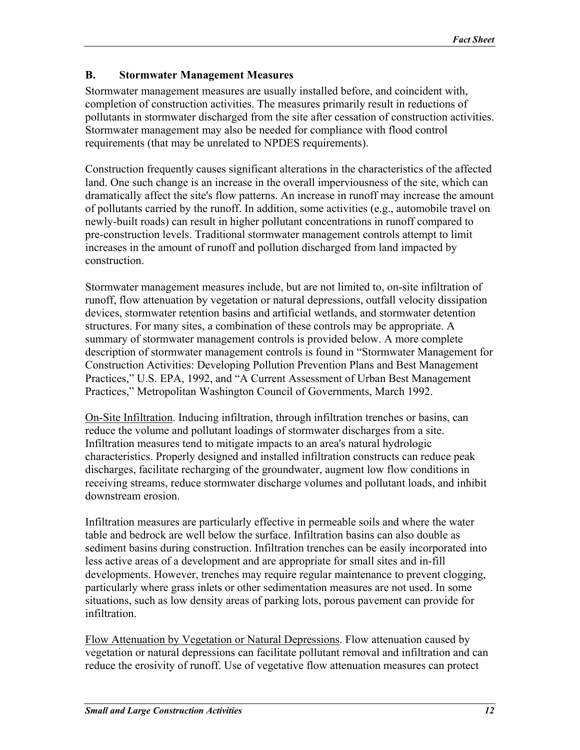### <span id="page-11-0"></span>**B. Stormwater Management Measures**

Stormwater management measures are usually installed before, and coincident with, completion of construction activities. The measures primarily result in reductions of pollutants in stormwater discharged from the site after cessation of construction activities. Stormwater management may also be needed for compliance with flood control requirements (that may be unrelated to NPDES requirements).

Construction frequently causes significant alterations in the characteristics of the affected land. One such change is an increase in the overall imperviousness of the site, which can dramatically affect the site's flow patterns. An increase in runoff may increase the amount of pollutants carried by the runoff. In addition, some activities (e.g., automobile travel on newly-built roads) can result in higher pollutant concentrations in runoff compared to pre-construction levels. Traditional stormwater management controls attempt to limit increases in the amount of runoff and pollution discharged from land impacted by construction.

Stormwater management measures include, but are not limited to, on-site infiltration of runoff, flow attenuation by vegetation or natural depressions, outfall velocity dissipation devices, stormwater retention basins and artificial wetlands, and stormwater detention structures. For many sites, a combination of these controls may be appropriate. A summary of stormwater management controls is provided below. A more complete description of stormwater management controls is found in "Stormwater Management for Construction Activities: Developing Pollution Prevention Plans and Best Management Practices," U.S. EPA, 1992, and "A Current Assessment of Urban Best Management Practices," Metropolitan Washington Council of Governments, March 1992.

On-Site Infiltration. Inducing infiltration, through infiltration trenches or basins, can reduce the volume and pollutant loadings of stormwater discharges from a site. Infiltration measures tend to mitigate impacts to an area's natural hydrologic characteristics. Properly designed and installed infiltration constructs can reduce peak discharges, facilitate recharging of the groundwater, augment low flow conditions in receiving streams, reduce stormwater discharge volumes and pollutant loads, and inhibit downstream erosion.

Infiltration measures are particularly effective in permeable soils and where the water table and bedrock are well below the surface. Infiltration basins can also double as sediment basins during construction. Infiltration trenches can be easily incorporated into less active areas of a development and are appropriate for small sites and in-fill developments. However, trenches may require regular maintenance to prevent clogging, particularly where grass inlets or other sedimentation measures are not used. In some situations, such as low density areas of parking lots, porous pavement can provide for infiltration.

Flow Attenuation by Vegetation or Natural Depressions. Flow attenuation caused by vegetation or natural depressions can facilitate pollutant removal and infiltration and can reduce the erosivity of runoff. Use of vegetative flow attenuation measures can protect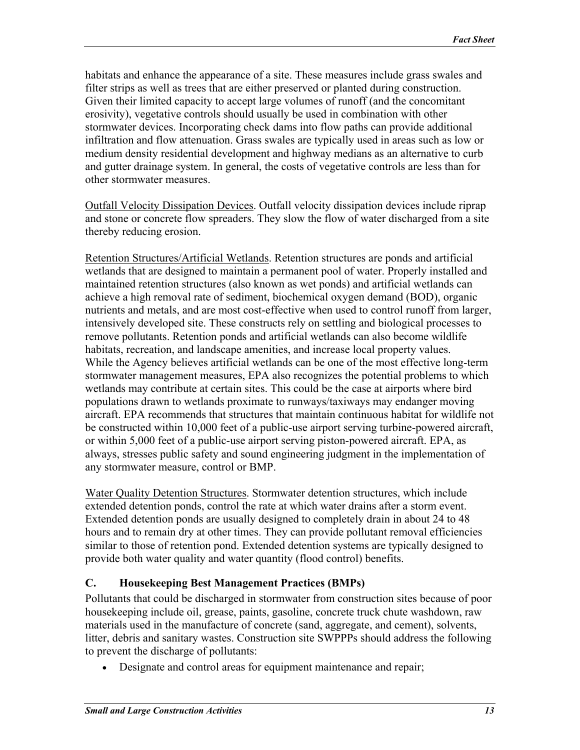<span id="page-12-0"></span>habitats and enhance the appearance of a site. These measures include grass swales and filter strips as well as trees that are either preserved or planted during construction. Given their limited capacity to accept large volumes of runoff (and the concomitant erosivity), vegetative controls should usually be used in combination with other stormwater devices. Incorporating check dams into flow paths can provide additional infiltration and flow attenuation. Grass swales are typically used in areas such as low or medium density residential development and highway medians as an alternative to curb and gutter drainage system. In general, the costs of vegetative controls are less than for other stormwater measures.

Outfall Velocity Dissipation Devices. Outfall velocity dissipation devices include riprap and stone or concrete flow spreaders. They slow the flow of water discharged from a site thereby reducing erosion.

Retention Structures/Artificial Wetlands. Retention structures are ponds and artificial wetlands that are designed to maintain a permanent pool of water. Properly installed and maintained retention structures (also known as wet ponds) and artificial wetlands can achieve a high removal rate of sediment, biochemical oxygen demand (BOD), organic nutrients and metals, and are most cost-effective when used to control runoff from larger, intensively developed site. These constructs rely on settling and biological processes to remove pollutants. Retention ponds and artificial wetlands can also become wildlife habitats, recreation, and landscape amenities, and increase local property values. While the Agency believes artificial wetlands can be one of the most effective long-term stormwater management measures, EPA also recognizes the potential problems to which wetlands may contribute at certain sites. This could be the case at airports where bird populations drawn to wetlands proximate to runways/taxiways may endanger moving aircraft. EPA recommends that structures that maintain continuous habitat for wildlife not be constructed within 10,000 feet of a public-use airport serving turbine-powered aircraft, or within 5,000 feet of a public-use airport serving piston-powered aircraft. EPA, as always, stresses public safety and sound engineering judgment in the implementation of any stormwater measure, control or BMP.

Water Quality Detention Structures. Stormwater detention structures, which include extended detention ponds, control the rate at which water drains after a storm event. Extended detention ponds are usually designed to completely drain in about 24 to 48 hours and to remain dry at other times. They can provide pollutant removal efficiencies similar to those of retention pond. Extended detention systems are typically designed to provide both water quality and water quantity (flood control) benefits.

## **C. Housekeeping Best Management Practices (BMPs)**

Pollutants that could be discharged in stormwater from construction sites because of poor housekeeping include oil, grease, paints, gasoline, concrete truck chute washdown, raw materials used in the manufacture of concrete (sand, aggregate, and cement), solvents, litter, debris and sanitary wastes. Construction site SWPPPs should address the following to prevent the discharge of pollutants:

• Designate and control areas for equipment maintenance and repair;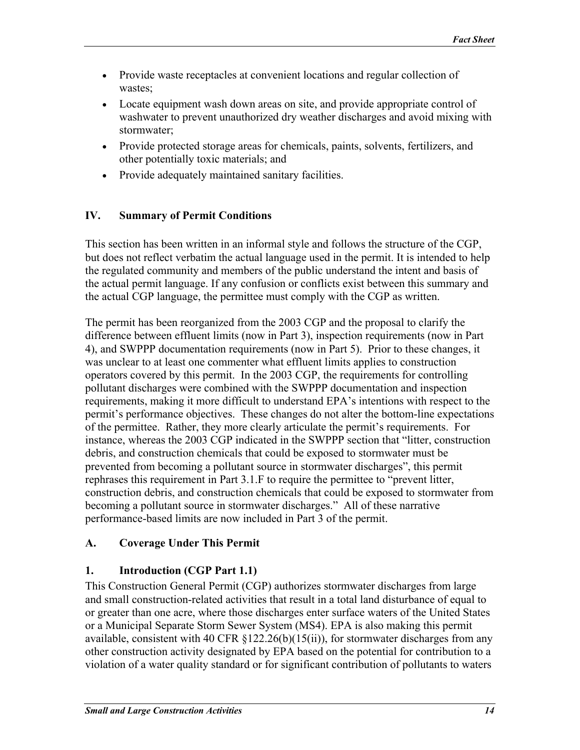- <span id="page-13-0"></span>• Provide waste receptacles at convenient locations and regular collection of wastes;
- Locate equipment wash down areas on site, and provide appropriate control of washwater to prevent unauthorized dry weather discharges and avoid mixing with stormwater;
- Provide protected storage areas for chemicals, paints, solvents, fertilizers, and other potentially toxic materials; and
- Provide adequately maintained sanitary facilities.

## **IV. Summary of Permit Conditions**

This section has been written in an informal style and follows the structure of the CGP, but does not reflect verbatim the actual language used in the permit. It is intended to help the regulated community and members of the public understand the intent and basis of the actual permit language. If any confusion or conflicts exist between this summary and the actual CGP language, the permittee must comply with the CGP as written.

The permit has been reorganized from the 2003 CGP and the proposal to clarify the difference between effluent limits (now in Part 3), inspection requirements (now in Part 4), and SWPPP documentation requirements (now in Part 5). Prior to these changes, it was unclear to at least one commenter what effluent limits applies to construction operators covered by this permit. In the 2003 CGP, the requirements for controlling pollutant discharges were combined with the SWPPP documentation and inspection requirements, making it more difficult to understand EPA's intentions with respect to the permit's performance objectives. These changes do not alter the bottom-line expectations of the permittee. Rather, they more clearly articulate the permit's requirements. For instance, whereas the 2003 CGP indicated in the SWPPP section that "litter, construction debris, and construction chemicals that could be exposed to stormwater must be prevented from becoming a pollutant source in stormwater discharges", this permit rephrases this requirement in Part 3.1.F to require the permittee to "prevent litter, construction debris, and construction chemicals that could be exposed to stormwater from becoming a pollutant source in stormwater discharges." All of these narrative performance-based limits are now included in Part 3 of the permit.

## **A. Coverage Under This Permit**

## **1. Introduction (CGP Part 1.1)**

This Construction General Permit (CGP) authorizes stormwater discharges from large and small construction-related activities that result in a total land disturbance of equal to or greater than one acre, where those discharges enter surface waters of the United States or a Municipal Separate Storm Sewer System (MS4). EPA is also making this permit available, consistent with 40 CFR  $\S$ 122.26(b)(15(ii)), for stormwater discharges from any other construction activity designated by EPA based on the potential for contribution to a violation of a water quality standard or for significant contribution of pollutants to waters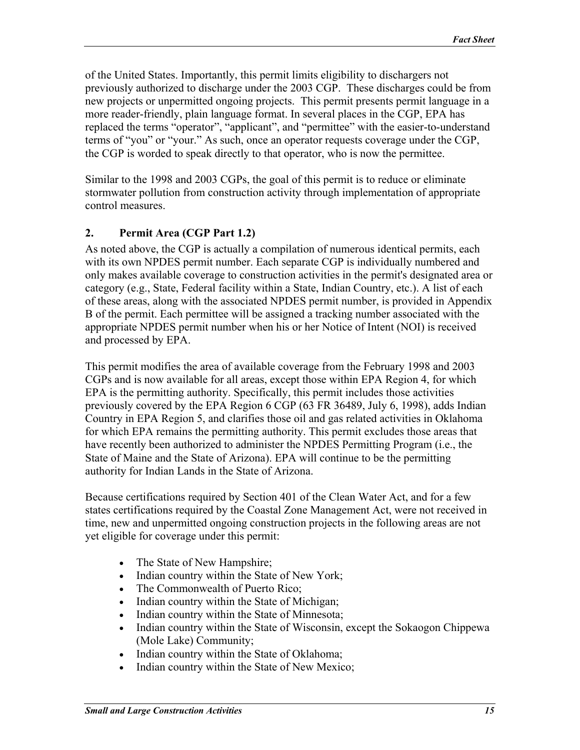<span id="page-14-0"></span>of the United States. Importantly, this permit limits eligibility to dischargers not previously authorized to discharge under the 2003 CGP. These discharges could be from new projects or unpermitted ongoing projects. This permit presents permit language in a more reader-friendly, plain language format. In several places in the CGP, EPA has replaced the terms "operator", "applicant", and "permittee" with the easier-to-understand terms of "you" or "your." As such, once an operator requests coverage under the CGP, the CGP is worded to speak directly to that operator, who is now the permittee.

Similar to the 1998 and 2003 CGPs, the goal of this permit is to reduce or eliminate stormwater pollution from construction activity through implementation of appropriate control measures.

## **2. Permit Area (CGP Part 1.2)**

As noted above, the CGP is actually a compilation of numerous identical permits, each with its own NPDES permit number. Each separate CGP is individually numbered and only makes available coverage to construction activities in the permit's designated area or category (e.g., State, Federal facility within a State, Indian Country, etc.). A list of each of these areas, along with the associated NPDES permit number, is provided in Appendix B of the permit. Each permittee will be assigned a tracking number associated with the appropriate NPDES permit number when his or her Notice of Intent (NOI) is received and processed by EPA.

This permit modifies the area of available coverage from the February 1998 and 2003 CGPs and is now available for all areas, except those within EPA Region 4, for which EPA is the permitting authority. Specifically, this permit includes those activities previously covered by the EPA Region 6 CGP (63 FR 36489, July 6, 1998), adds Indian Country in EPA Region 5, and clarifies those oil and gas related activities in Oklahoma for which EPA remains the permitting authority. This permit excludes those areas that have recently been authorized to administer the NPDES Permitting Program (i.e., the State of Maine and the State of Arizona). EPA will continue to be the permitting authority for Indian Lands in the State of Arizona.

Because certifications required by Section 401 of the Clean Water Act, and for a few states certifications required by the Coastal Zone Management Act, were not received in time, new and unpermitted ongoing construction projects in the following areas are not yet eligible for coverage under this permit:

- The State of New Hampshire;
- Indian country within the State of New York;
- The Commonwealth of Puerto Rico;
- Indian country within the State of Michigan;
- Indian country within the State of Minnesota;
- Indian country within the State of Wisconsin, except the Sokaogon Chippewa (Mole Lake) Community;
- Indian country within the State of Oklahoma;
- Indian country within the State of New Mexico;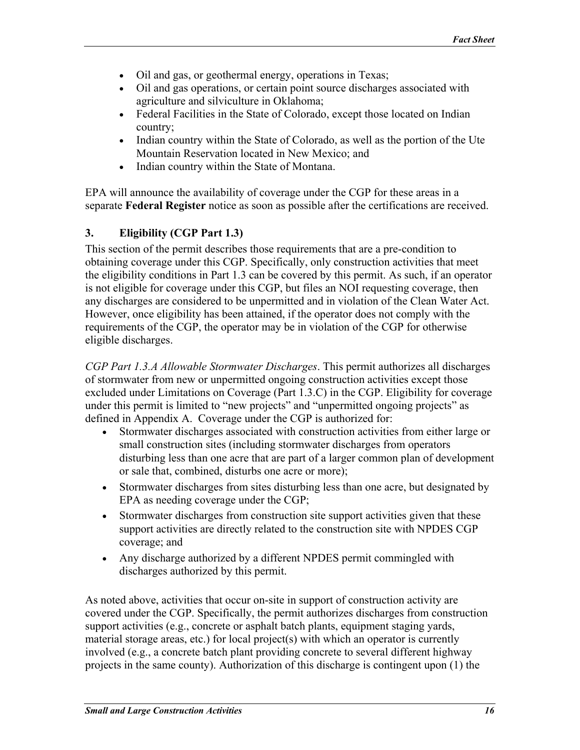- <span id="page-15-0"></span>• Oil and gas, or geothermal energy, operations in Texas;
- Oil and gas operations, or certain point source discharges associated with agriculture and silviculture in Oklahoma;
- Federal Facilities in the State of Colorado, except those located on Indian country;
- Indian country within the State of Colorado, as well as the portion of the Ute Mountain Reservation located in New Mexico; and
- Indian country within the State of Montana.

EPA will announce the availability of coverage under the CGP for these areas in a separate **Federal Register** notice as soon as possible after the certifications are received.

### **3. Eligibility (CGP Part 1.3)**

This section of the permit describes those requirements that are a pre-condition to obtaining coverage under this CGP. Specifically, only construction activities that meet the eligibility conditions in Part 1.3 can be covered by this permit. As such, if an operator is not eligible for coverage under this CGP, but files an NOI requesting coverage, then any discharges are considered to be unpermitted and in violation of the Clean Water Act. However, once eligibility has been attained, if the operator does not comply with the requirements of the CGP, the operator may be in violation of the CGP for otherwise eligible discharges.

*CGP Part 1.3.A Allowable Stormwater Discharges*. This permit authorizes all discharges of stormwater from new or unpermitted ongoing construction activities except those excluded under Limitations on Coverage (Part 1.3.C) in the CGP. Eligibility for coverage under this permit is limited to "new projects" and "unpermitted ongoing projects" as defined in Appendix A. Coverage under the CGP is authorized for:

- Stormwater discharges associated with construction activities from either large or small construction sites (including stormwater discharges from operators disturbing less than one acre that are part of a larger common plan of development or sale that, combined, disturbs one acre or more);
- Stormwater discharges from sites disturbing less than one acre, but designated by EPA as needing coverage under the CGP;
- Stormwater discharges from construction site support activities given that these support activities are directly related to the construction site with NPDES CGP coverage; and
- Any discharge authorized by a different NPDES permit commingled with discharges authorized by this permit.

As noted above, activities that occur on-site in support of construction activity are covered under the CGP. Specifically, the permit authorizes discharges from construction support activities (e.g., concrete or asphalt batch plants, equipment staging yards, material storage areas, etc.) for local project(s) with which an operator is currently involved (e.g., a concrete batch plant providing concrete to several different highway projects in the same county). Authorization of this discharge is contingent upon (1) the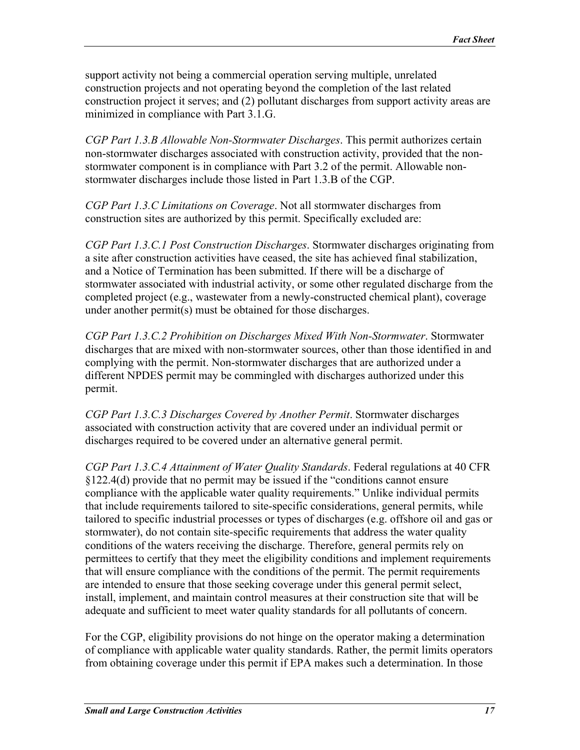support activity not being a commercial operation serving multiple, unrelated construction projects and not operating beyond the completion of the last related construction project it serves; and (2) pollutant discharges from support activity areas are minimized in compliance with Part 3.1.G.

*CGP Part 1.3.B Allowable Non-Stormwater Discharges*. This permit authorizes certain non-stormwater discharges associated with construction activity, provided that the nonstormwater component is in compliance with Part 3.2 of the permit. Allowable nonstormwater discharges include those listed in Part 1.3.B of the CGP.

*CGP Part 1.3.C Limitations on Coverage*. Not all stormwater discharges from construction sites are authorized by this permit. Specifically excluded are:

*CGP Part 1.3.C.1 Post Construction Discharges*. Stormwater discharges originating from a site after construction activities have ceased, the site has achieved final stabilization, and a Notice of Termination has been submitted. If there will be a discharge of stormwater associated with industrial activity, or some other regulated discharge from the completed project (e.g., wastewater from a newly-constructed chemical plant), coverage under another permit(s) must be obtained for those discharges.

*CGP Part 1.3.C.2 Prohibition on Discharges Mixed With Non-Stormwater*. Stormwater discharges that are mixed with non-stormwater sources, other than those identified in and complying with the permit. Non-stormwater discharges that are authorized under a different NPDES permit may be commingled with discharges authorized under this permit.

*CGP Part 1.3.C.3 Discharges Covered by Another Permit*. Stormwater discharges associated with construction activity that are covered under an individual permit or discharges required to be covered under an alternative general permit.

*CGP Part 1.3.C.4 Attainment of Water Quality Standards*. Federal regulations at 40 CFR §122.4(d) provide that no permit may be issued if the "conditions cannot ensure compliance with the applicable water quality requirements." Unlike individual permits that include requirements tailored to site-specific considerations, general permits, while tailored to specific industrial processes or types of discharges (e.g. offshore oil and gas or stormwater), do not contain site-specific requirements that address the water quality conditions of the waters receiving the discharge. Therefore, general permits rely on permittees to certify that they meet the eligibility conditions and implement requirements that will ensure compliance with the conditions of the permit. The permit requirements are intended to ensure that those seeking coverage under this general permit select, install, implement, and maintain control measures at their construction site that will be adequate and sufficient to meet water quality standards for all pollutants of concern.

For the CGP, eligibility provisions do not hinge on the operator making a determination of compliance with applicable water quality standards. Rather, the permit limits operators from obtaining coverage under this permit if EPA makes such a determination. In those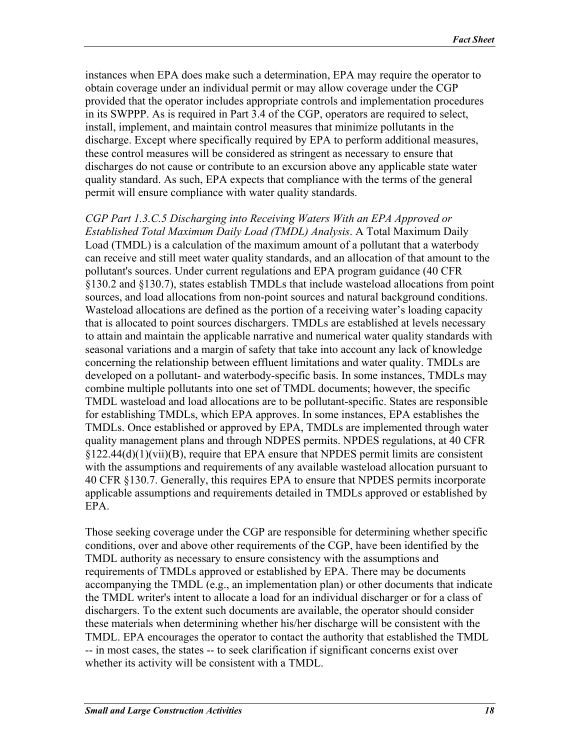instances when EPA does make such a determination, EPA may require the operator to obtain coverage under an individual permit or may allow coverage under the CGP provided that the operator includes appropriate controls and implementation procedures in its SWPPP. As is required in Part 3.4 of the CGP, operators are required to select, install, implement, and maintain control measures that minimize pollutants in the discharge. Except where specifically required by EPA to perform additional measures, these control measures will be considered as stringent as necessary to ensure that discharges do not cause or contribute to an excursion above any applicable state water quality standard. As such, EPA expects that compliance with the terms of the general permit will ensure compliance with water quality standards.

*CGP Part 1.3.C.5 Discharging into Receiving Waters With an EPA Approved or Established Total Maximum Daily Load (TMDL) Analysis*. A Total Maximum Daily Load (TMDL) is a calculation of the maximum amount of a pollutant that a waterbody can receive and still meet water quality standards, and an allocation of that amount to the pollutant's sources. Under current regulations and EPA program guidance (40 CFR §130.2 and §130.7), states establish TMDLs that include wasteload allocations from point sources, and load allocations from non-point sources and natural background conditions. Wasteload allocations are defined as the portion of a receiving water's loading capacity that is allocated to point sources dischargers. TMDLs are established at levels necessary to attain and maintain the applicable narrative and numerical water quality standards with seasonal variations and a margin of safety that take into account any lack of knowledge concerning the relationship between effluent limitations and water quality. TMDLs are developed on a pollutant- and waterbody-specific basis. In some instances, TMDLs may combine multiple pollutants into one set of TMDL documents; however, the specific TMDL wasteload and load allocations are to be pollutant-specific. States are responsible for establishing TMDLs, which EPA approves. In some instances, EPA establishes the TMDLs. Once established or approved by EPA, TMDLs are implemented through water quality management plans and through NDPES permits. NPDES regulations, at 40 CFR  $\S 122.44(d)(1)(vii)(B)$ , require that EPA ensure that NPDES permit limits are consistent with the assumptions and requirements of any available wasteload allocation pursuant to 40 CFR §130.7. Generally, this requires EPA to ensure that NPDES permits incorporate applicable assumptions and requirements detailed in TMDLs approved or established by EPA.

Those seeking coverage under the CGP are responsible for determining whether specific conditions, over and above other requirements of the CGP, have been identified by the TMDL authority as necessary to ensure consistency with the assumptions and requirements of TMDLs approved or established by EPA. There may be documents accompanying the TMDL (e.g., an implementation plan) or other documents that indicate the TMDL writer's intent to allocate a load for an individual discharger or for a class of dischargers. To the extent such documents are available, the operator should consider these materials when determining whether his/her discharge will be consistent with the TMDL. EPA encourages the operator to contact the authority that established the TMDL -- in most cases, the states -- to seek clarification if significant concerns exist over whether its activity will be consistent with a TMDL.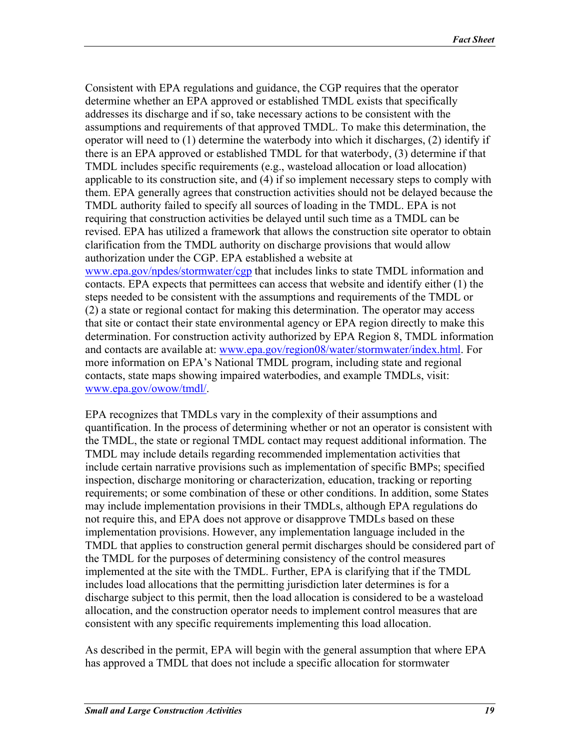Consistent with EPA regulations and guidance, the CGP requires that the operator determine whether an EPA approved or established TMDL exists that specifically addresses its discharge and if so, take necessary actions to be consistent with the assumptions and requirements of that approved TMDL. To make this determination, the operator will need to (1) determine the waterbody into which it discharges, (2) identify if there is an EPA approved or established TMDL for that waterbody, (3) determine if that TMDL includes specific requirements (e.g., wasteload allocation or load allocation) applicable to its construction site, and (4) if so implement necessary steps to comply with them. EPA generally agrees that construction activities should not be delayed because the TMDL authority failed to specify all sources of loading in the TMDL. EPA is not requiring that construction activities be delayed until such time as a TMDL can be revised. EPA has utilized a framework that allows the construction site operator to obtain clarification from the TMDL authority on discharge provisions that would allow authorization under the CGP. EPA established a website at [www.epa.gov/npdes/stormwater/cgp](http://www.epa.gov/npdes/stormwater/cgp) that includes links to state TMDL information and contacts. EPA expects that permittees can access that website and identify either (1) the steps needed to be consistent with the assumptions and requirements of the TMDL or (2) a state or regional contact for making this determination. The operator may access that site or contact their state environmental agency or EPA region directly to make this determination. For construction activity authorized by EPA Region 8, TMDL information and contacts are available at: [www.epa.gov/region08/water/stormwater/index.html](http://www.epa.gov/region08/water/stormwater/index.html). For more information on EPA's National TMDL program, including state and regional contacts, state maps showing impaired waterbodies, and example TMDLs, visit: [www.epa.gov/owow/tmdl/.](http://www.epa.gov/owow/tmdl/)

EPA recognizes that TMDLs vary in the complexity of their assumptions and quantification. In the process of determining whether or not an operator is consistent with the TMDL, the state or regional TMDL contact may request additional information. The TMDL may include details regarding recommended implementation activities that include certain narrative provisions such as implementation of specific BMPs; specified inspection, discharge monitoring or characterization, education, tracking or reporting requirements; or some combination of these or other conditions. In addition, some States may include implementation provisions in their TMDLs, although EPA regulations do not require this, and EPA does not approve or disapprove TMDLs based on these implementation provisions. However, any implementation language included in the TMDL that applies to construction general permit discharges should be considered part of the TMDL for the purposes of determining consistency of the control measures implemented at the site with the TMDL. Further, EPA is clarifying that if the TMDL includes load allocations that the permitting jurisdiction later determines is for a discharge subject to this permit, then the load allocation is considered to be a wasteload allocation, and the construction operator needs to implement control measures that are consistent with any specific requirements implementing this load allocation.

As described in the permit, EPA will begin with the general assumption that where EPA has approved a TMDL that does not include a specific allocation for stormwater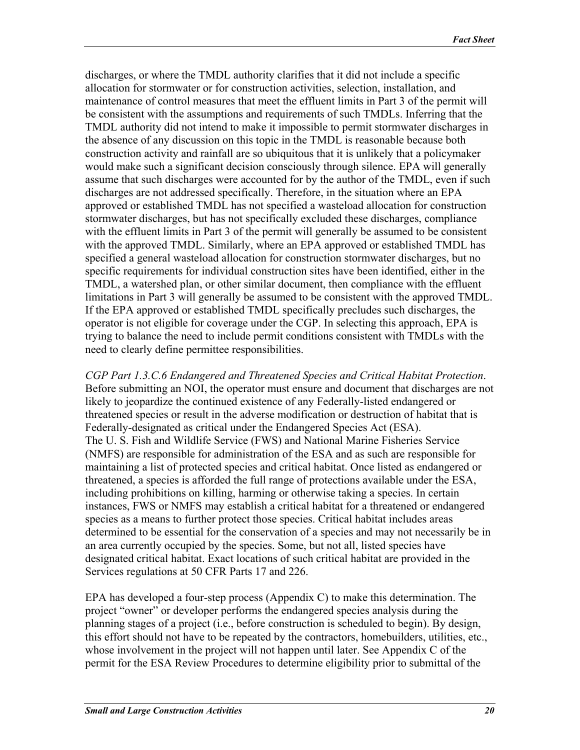discharges, or where the TMDL authority clarifies that it did not include a specific allocation for stormwater or for construction activities, selection, installation, and maintenance of control measures that meet the effluent limits in Part 3 of the permit will be consistent with the assumptions and requirements of such TMDLs. Inferring that the TMDL authority did not intend to make it impossible to permit stormwater discharges in the absence of any discussion on this topic in the TMDL is reasonable because both construction activity and rainfall are so ubiquitous that it is unlikely that a policymaker would make such a significant decision consciously through silence. EPA will generally assume that such discharges were accounted for by the author of the TMDL, even if such discharges are not addressed specifically. Therefore, in the situation where an EPA approved or established TMDL has not specified a wasteload allocation for construction stormwater discharges, but has not specifically excluded these discharges, compliance with the effluent limits in Part 3 of the permit will generally be assumed to be consistent with the approved TMDL. Similarly, where an EPA approved or established TMDL has specified a general wasteload allocation for construction stormwater discharges, but no specific requirements for individual construction sites have been identified, either in the TMDL, a watershed plan, or other similar document, then compliance with the effluent limitations in Part 3 will generally be assumed to be consistent with the approved TMDL. If the EPA approved or established TMDL specifically precludes such discharges, the operator is not eligible for coverage under the CGP. In selecting this approach, EPA is trying to balance the need to include permit conditions consistent with TMDLs with the need to clearly define permittee responsibilities.

*CGP Part 1.3.C.6 Endangered and Threatened Species and Critical Habitat Protection*. Before submitting an NOI, the operator must ensure and document that discharges are not likely to jeopardize the continued existence of any Federally-listed endangered or threatened species or result in the adverse modification or destruction of habitat that is Federally-designated as critical under the Endangered Species Act (ESA). The U. S. Fish and Wildlife Service (FWS) and National Marine Fisheries Service (NMFS) are responsible for administration of the ESA and as such are responsible for maintaining a list of protected species and critical habitat. Once listed as endangered or threatened, a species is afforded the full range of protections available under the ESA, including prohibitions on killing, harming or otherwise taking a species. In certain instances, FWS or NMFS may establish a critical habitat for a threatened or endangered species as a means to further protect those species. Critical habitat includes areas determined to be essential for the conservation of a species and may not necessarily be in an area currently occupied by the species. Some, but not all, listed species have designated critical habitat. Exact locations of such critical habitat are provided in the Services regulations at 50 CFR Parts 17 and 226.

EPA has developed a four-step process (Appendix C) to make this determination. The project "owner" or developer performs the endangered species analysis during the planning stages of a project (i.e., before construction is scheduled to begin). By design, this effort should not have to be repeated by the contractors, homebuilders, utilities, etc., whose involvement in the project will not happen until later. See Appendix C of the permit for the ESA Review Procedures to determine eligibility prior to submittal of the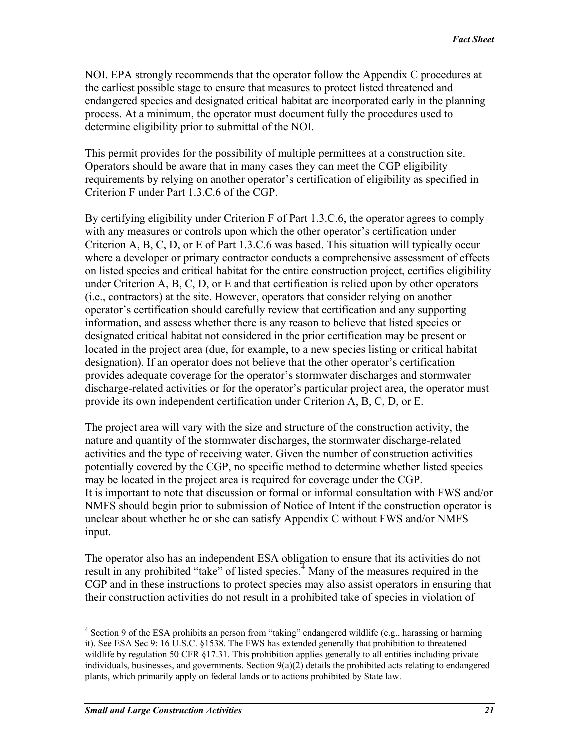NOI. EPA strongly recommends that the operator follow the Appendix C procedures at the earliest possible stage to ensure that measures to protect listed threatened and endangered species and designated critical habitat are incorporated early in the planning process. At a minimum, the operator must document fully the procedures used to determine eligibility prior to submittal of the NOI.

This permit provides for the possibility of multiple permittees at a construction site. Operators should be aware that in many cases they can meet the CGP eligibility requirements by relying on another operator's certification of eligibility as specified in Criterion F under Part 1.3.C.6 of the CGP.

By certifying eligibility under Criterion F of Part 1.3.C.6, the operator agrees to comply with any measures or controls upon which the other operator's certification under Criterion A, B, C, D, or E of Part 1.3.C.6 was based. This situation will typically occur where a developer or primary contractor conducts a comprehensive assessment of effects on listed species and critical habitat for the entire construction project, certifies eligibility under Criterion A, B, C, D, or E and that certification is relied upon by other operators (i.e., contractors) at the site. However, operators that consider relying on another operator's certification should carefully review that certification and any supporting information, and assess whether there is any reason to believe that listed species or designated critical habitat not considered in the prior certification may be present or located in the project area (due, for example, to a new species listing or critical habitat designation). If an operator does not believe that the other operator's certification provides adequate coverage for the operator's stormwater discharges and stormwater discharge-related activities or for the operator's particular project area, the operator must provide its own independent certification under Criterion A, B, C, D, or E.

The project area will vary with the size and structure of the construction activity, the nature and quantity of the stormwater discharges, the stormwater discharge-related activities and the type of receiving water. Given the number of construction activities potentially covered by the CGP, no specific method to determine whether listed species may be located in the project area is required for coverage under the CGP. It is important to note that discussion or formal or informal consultation with FWS and/or NMFS should begin prior to submission of Notice of Intent if the construction operator is unclear about whether he or she can satisfy Appendix C without FWS and/or NMFS input.

The operator also has an independent ESA obligation to ensure that its activities do not result in any prohibited "take" of listed species.  $\frac{4}{3}$  $\frac{4}{3}$  $\frac{4}{3}$  Many of the measures required in the CGP and in these instructions to protect species may also assist operators in ensuring that their construction activities do not result in a prohibited take of species in violation of

 $\overline{a}$ 

<span id="page-20-0"></span><sup>&</sup>lt;sup>4</sup> Section 9 of the ESA prohibits an person from "taking" endangered wildlife (e.g., harassing or harming it). See ESA Sec 9: 16 U.S.C. §1538. The FWS has extended generally that prohibition to threatened wildlife by regulation 50 CFR §17.31. This prohibition applies generally to all entities including private individuals, businesses, and governments. Section  $9(a)(2)$  details the prohibited acts relating to endangered plants, which primarily apply on federal lands or to actions prohibited by State law.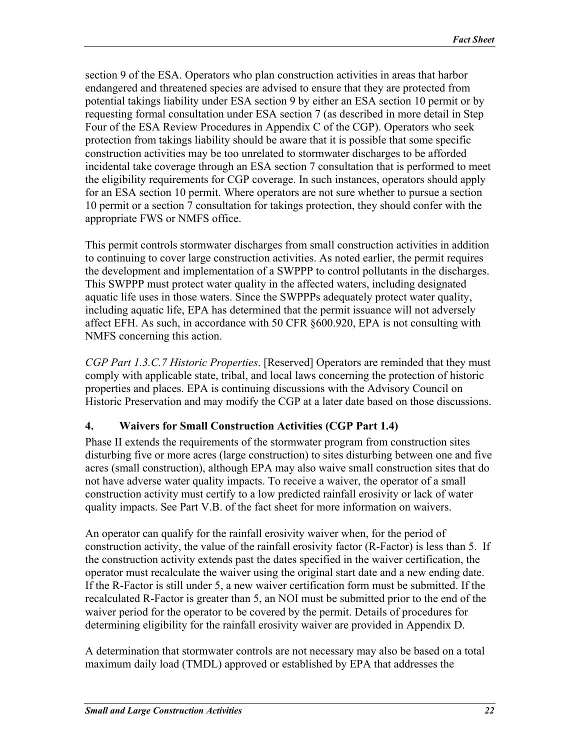<span id="page-21-0"></span>section 9 of the ESA. Operators who plan construction activities in areas that harbor endangered and threatened species are advised to ensure that they are protected from potential takings liability under ESA section 9 by either an ESA section 10 permit or by requesting formal consultation under ESA section 7 (as described in more detail in Step Four of the ESA Review Procedures in Appendix C of the CGP). Operators who seek protection from takings liability should be aware that it is possible that some specific construction activities may be too unrelated to stormwater discharges to be afforded incidental take coverage through an ESA section 7 consultation that is performed to meet the eligibility requirements for CGP coverage. In such instances, operators should apply for an ESA section 10 permit. Where operators are not sure whether to pursue a section 10 permit or a section 7 consultation for takings protection, they should confer with the appropriate FWS or NMFS office.

This permit controls stormwater discharges from small construction activities in addition to continuing to cover large construction activities. As noted earlier, the permit requires the development and implementation of a SWPPP to control pollutants in the discharges. This SWPPP must protect water quality in the affected waters, including designated aquatic life uses in those waters. Since the SWPPPs adequately protect water quality, including aquatic life, EPA has determined that the permit issuance will not adversely affect EFH. As such, in accordance with 50 CFR §600.920, EPA is not consulting with NMFS concerning this action.

*CGP Part 1.3.C.7 Historic Properties*. [Reserved] Operators are reminded that they must comply with applicable state, tribal, and local laws concerning the protection of historic properties and places. EPA is continuing discussions with the Advisory Council on Historic Preservation and may modify the CGP at a later date based on those discussions.

## **4. Waivers for Small Construction Activities (CGP Part 1.4)**

Phase II extends the requirements of the stormwater program from construction sites disturbing five or more acres (large construction) to sites disturbing between one and five acres (small construction), although EPA may also waive small construction sites that do not have adverse water quality impacts. To receive a waiver, the operator of a small construction activity must certify to a low predicted rainfall erosivity or lack of water quality impacts. See Part V.B. of the fact sheet for more information on waivers.

An operator can qualify for the rainfall erosivity waiver when, for the period of construction activity, the value of the rainfall erosivity factor (R-Factor) is less than 5. If the construction activity extends past the dates specified in the waiver certification, the operator must recalculate the waiver using the original start date and a new ending date. If the R-Factor is still under 5, a new waiver certification form must be submitted. If the recalculated R-Factor is greater than 5, an NOI must be submitted prior to the end of the waiver period for the operator to be covered by the permit. Details of procedures for determining eligibility for the rainfall erosivity waiver are provided in Appendix D.

A determination that stormwater controls are not necessary may also be based on a total maximum daily load (TMDL) approved or established by EPA that addresses the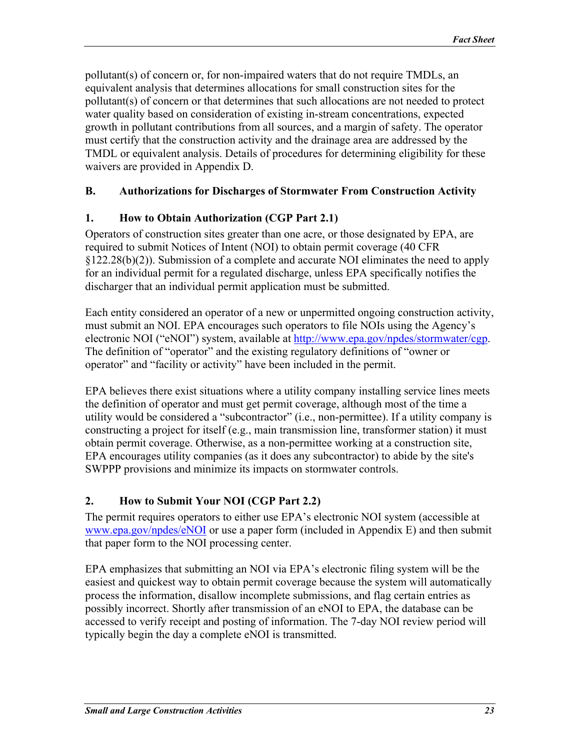<span id="page-22-0"></span>pollutant(s) of concern or, for non-impaired waters that do not require TMDLs, an equivalent analysis that determines allocations for small construction sites for the pollutant(s) of concern or that determines that such allocations are not needed to protect water quality based on consideration of existing in-stream concentrations, expected growth in pollutant contributions from all sources, and a margin of safety. The operator must certify that the construction activity and the drainage area are addressed by the TMDL or equivalent analysis. Details of procedures for determining eligibility for these waivers are provided in Appendix D.

### **B. Authorizations for Discharges of Stormwater From Construction Activity**

### **1. How to Obtain Authorization (CGP Part 2.1)**

Operators of construction sites greater than one acre, or those designated by EPA, are required to submit Notices of Intent (NOI) to obtain permit coverage (40 CFR §122.28(b)(2)). Submission of a complete and accurate NOI eliminates the need to apply for an individual permit for a regulated discharge, unless EPA specifically notifies the discharger that an individual permit application must be submitted.

Each entity considered an operator of a new or unpermitted ongoing construction activity, must submit an NOI. EPA encourages such operators to file NOIs using the Agency's electronic NOI ("eNOI") system, available at [http://www.epa.gov/npdes/stormwater/cgp.](http://www.epa.gov/npdes/stormwater/cgp) The definition of "operator" and the existing regulatory definitions of "owner or operator" and "facility or activity" have been included in the permit.

EPA believes there exist situations where a utility company installing service lines meets the definition of operator and must get permit coverage, although most of the time a utility would be considered a "subcontractor" (i.e., non-permittee). If a utility company is constructing a project for itself (e.g., main transmission line, transformer station) it must obtain permit coverage. Otherwise, as a non-permittee working at a construction site, EPA encourages utility companies (as it does any subcontractor) to abide by the site's SWPPP provisions and minimize its impacts on stormwater controls.

### **2. How to Submit Your NOI (CGP Part 2.2)**

The permit requires operators to either use EPA's electronic NOI system (accessible at [www.epa.gov/npdes/eNOI](http://www.epa.gov/npdes/eNOI) or use a paper form (included in Appendix E) and then submit that paper form to the NOI processing center.

EPA emphasizes that submitting an NOI via EPA's electronic filing system will be the easiest and quickest way to obtain permit coverage because the system will automatically process the information, disallow incomplete submissions, and flag certain entries as possibly incorrect. Shortly after transmission of an eNOI to EPA, the database can be accessed to verify receipt and posting of information. The 7-day NOI review period will typically begin the day a complete eNOI is transmitted.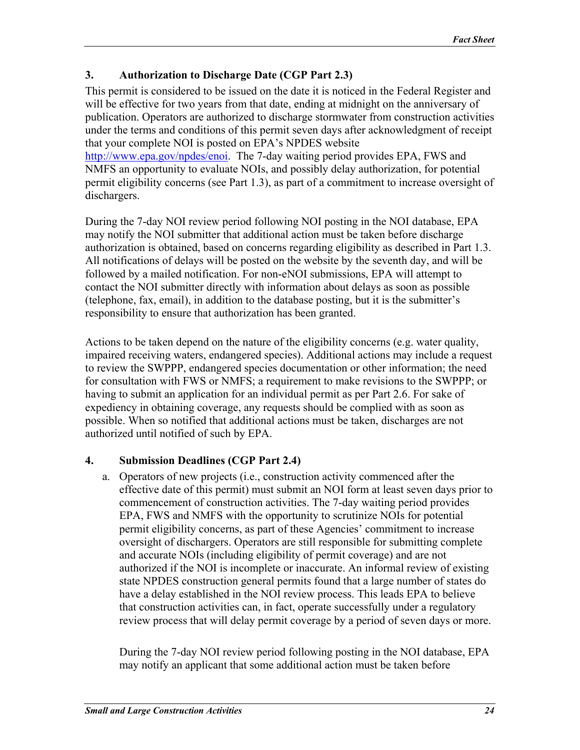### <span id="page-23-0"></span>**3. Authorization to Discharge Date (CGP Part 2.3)**

This permit is considered to be issued on the date it is noticed in the Federal Register and will be effective for two years from that date, ending at midnight on the anniversary of publication. Operators are authorized to discharge stormwater from construction activities under the terms and conditions of this permit seven days after acknowledgment of receipt that your complete NOI is posted on EPA's NPDES website [http://www.epa.gov/npdes/enoi.](http://www.epa.gov/npdes/enoi) The 7-day waiting period provides EPA, FWS and NMFS an opportunity to evaluate NOIs, and possibly delay authorization, for potential

permit eligibility concerns (see Part 1.3), as part of a commitment to increase oversight of dischargers.

During the 7-day NOI review period following NOI posting in the NOI database, EPA may notify the NOI submitter that additional action must be taken before discharge authorization is obtained, based on concerns regarding eligibility as described in Part 1.3. All notifications of delays will be posted on the website by the seventh day, and will be followed by a mailed notification. For non-eNOI submissions, EPA will attempt to contact the NOI submitter directly with information about delays as soon as possible (telephone, fax, email), in addition to the database posting, but it is the submitter's responsibility to ensure that authorization has been granted.

Actions to be taken depend on the nature of the eligibility concerns (e.g. water quality, impaired receiving waters, endangered species). Additional actions may include a request to review the SWPPP, endangered species documentation or other information; the need for consultation with FWS or NMFS; a requirement to make revisions to the SWPPP; or having to submit an application for an individual permit as per Part 2.6. For sake of expediency in obtaining coverage, any requests should be complied with as soon as possible. When so notified that additional actions must be taken, discharges are not authorized until notified of such by EPA.

### **4. Submission Deadlines (CGP Part 2.4)**

a. Operators of new projects (i.e., construction activity commenced after the effective date of this permit) must submit an NOI form at least seven days prior to commencement of construction activities. The 7-day waiting period provides EPA, FWS and NMFS with the opportunity to scrutinize NOIs for potential permit eligibility concerns, as part of these Agencies' commitment to increase oversight of dischargers. Operators are still responsible for submitting complete and accurate NOIs (including eligibility of permit coverage) and are not authorized if the NOI is incomplete or inaccurate. An informal review of existing state NPDES construction general permits found that a large number of states do have a delay established in the NOI review process. This leads EPA to believe that construction activities can, in fact, operate successfully under a regulatory review process that will delay permit coverage by a period of seven days or more.

During the 7-day NOI review period following posting in the NOI database, EPA may notify an applicant that some additional action must be taken before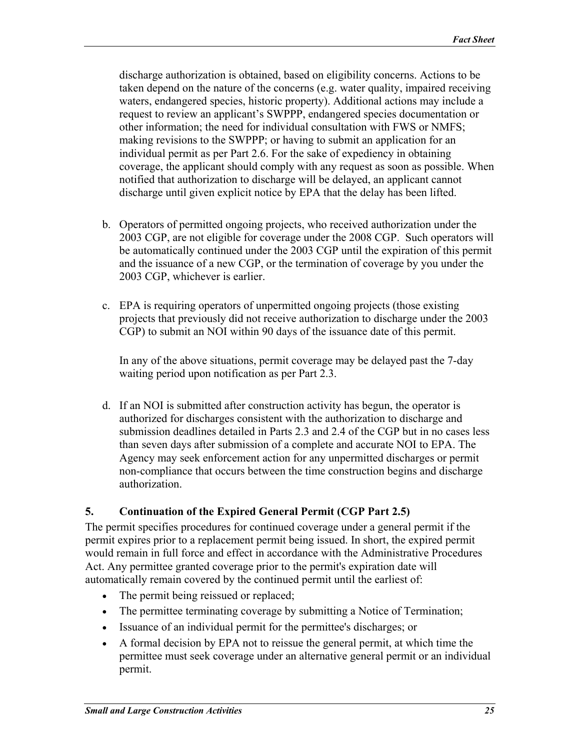<span id="page-24-0"></span>discharge authorization is obtained, based on eligibility concerns. Actions to be taken depend on the nature of the concerns (e.g. water quality, impaired receiving waters, endangered species, historic property). Additional actions may include a request to review an applicant's SWPPP, endangered species documentation or other information; the need for individual consultation with FWS or NMFS; making revisions to the SWPPP; or having to submit an application for an individual permit as per Part 2.6. For the sake of expediency in obtaining coverage, the applicant should comply with any request as soon as possible. When notified that authorization to discharge will be delayed, an applicant cannot discharge until given explicit notice by EPA that the delay has been lifted.

- b. Operators of permitted ongoing projects, who received authorization under the 2003 CGP, are not eligible for coverage under the 2008 CGP. Such operators will be automatically continued under the 2003 CGP until the expiration of this permit and the issuance of a new CGP, or the termination of coverage by you under the 2003 CGP, whichever is earlier.
- c. EPA is requiring operators of unpermitted ongoing projects (those existing projects that previously did not receive authorization to discharge under the 2003 CGP) to submit an NOI within 90 days of the issuance date of this permit.

In any of the above situations, permit coverage may be delayed past the 7-day waiting period upon notification as per Part 2.3.

d. If an NOI is submitted after construction activity has begun, the operator is authorized for discharges consistent with the authorization to discharge and submission deadlines detailed in Parts 2.3 and 2.4 of the CGP but in no cases less than seven days after submission of a complete and accurate NOI to EPA. The Agency may seek enforcement action for any unpermitted discharges or permit non-compliance that occurs between the time construction begins and discharge authorization.

### **5. Continuation of the Expired General Permit (CGP Part 2.5)**

The permit specifies procedures for continued coverage under a general permit if the permit expires prior to a replacement permit being issued. In short, the expired permit would remain in full force and effect in accordance with the Administrative Procedures Act. Any permittee granted coverage prior to the permit's expiration date will automatically remain covered by the continued permit until the earliest of:

- The permit being reissued or replaced;
- The permittee terminating coverage by submitting a Notice of Termination;
- Issuance of an individual permit for the permittee's discharges; or
- A formal decision by EPA not to reissue the general permit, at which time the permittee must seek coverage under an alternative general permit or an individual permit.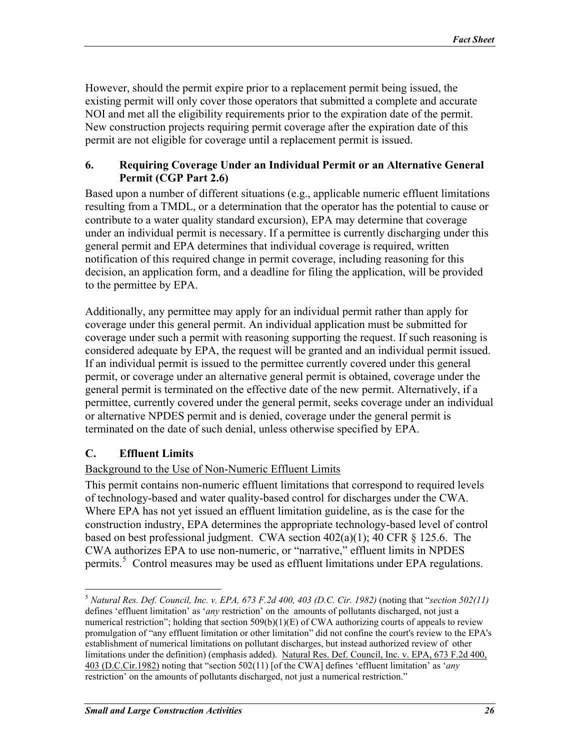<span id="page-25-0"></span>However, should the permit expire prior to a replacement permit being issued, the existing permit will only cover those operators that submitted a complete and accurate NOI and met all the eligibility requirements prior to the expiration date of the permit. New construction projects requiring permit coverage after the expiration date of this permit are not eligible for coverage until a replacement permit is issued.

#### **6. Requiring Coverage Under an Individual Permit or an Alternative General Permit (CGP Part 2.6)**

Based upon a number of different situations (e.g., applicable numeric effluent limitations resulting from a TMDL, or a determination that the operator has the potential to cause or contribute to a water quality standard excursion), EPA may determine that coverage under an individual permit is necessary. If a permittee is currently discharging under this general permit and EPA determines that individual coverage is required, written notification of this required change in permit coverage, including reasoning for this decision, an application form, and a deadline for filing the application, will be provided to the permittee by EPA.

Additionally, any permittee may apply for an individual permit rather than apply for coverage under this general permit. An individual application must be submitted for coverage under such a permit with reasoning supporting the request. If such reasoning is considered adequate by EPA, the request will be granted and an individual permit issued. If an individual permit is issued to the permittee currently covered under this general permit, or coverage under an alternative general permit is obtained, coverage under the general permit is terminated on the effective date of the new permit. Alternatively, if a permittee, currently covered under the general permit, seeks coverage under an individual or alternative NPDES permit and is denied, coverage under the general permit is terminated on the date of such denial, unless otherwise specified by EPA.

### **C. Effluent Limits**

1

#### Background to the Use of Non-Numeric Effluent Limits

This permit contains non-numeric effluent limitations that correspond to required levels of technology-based and water quality-based control for discharges under the CWA. Where EPA has not yet issued an effluent limitation guideline, as is the case for the construction industry, EPA determines the appropriate technology-based level of control based on best professional judgment. CWA section  $402(a)(1)$ ; 40 CFR § 125.6. The CWA authorizes EPA to use non-numeric, or "narrative," effluent limits in NPDES permits.<sup>[5](#page-25-1)</sup> Control measures may be used as effluent limitations under EPA regulations.

<span id="page-25-1"></span><sup>5</sup> *Natural Res. Def. Council, Inc. v. EPA, 673 F.2d 400, 403 (D.C. Cir. 1982)* (noting that "*section 502(11)* defines 'effluent limitation' as '*any* restriction' on the amounts of pollutants discharged, not just a numerical restriction"; holding that section  $509(b)(1)(E)$  of CWA authorizing courts of appeals to review promulgation of "any effluent limitation or other limitation" did not confine the court's review to the EPA's establishment of numerical limitations on pollutant discharges, but instead authorized review of other limitations under the definition) (emphasis added). Natural Res. Def. Council, Inc. v. EPA, 673 F.2d 400, 403 (D.C.Cir.1982) noting that "section 502(11) [of the CWA] defines 'effluent limitation' as '*any* restriction' on the amounts of pollutants discharged, not just a numerical restriction."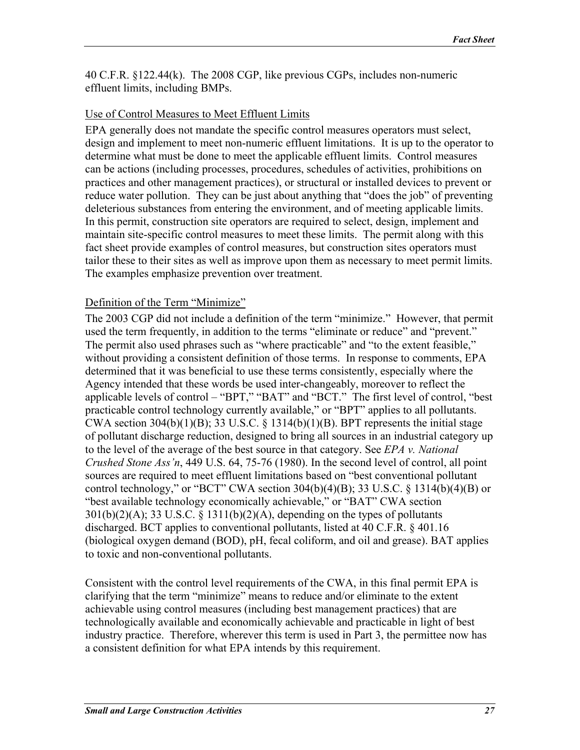40 C.F.R. §122.44(k). The 2008 CGP, like previous CGPs, includes non-numeric effluent limits, including BMPs.

#### Use of Control Measures to Meet Effluent Limits

EPA generally does not mandate the specific control measures operators must select, design and implement to meet non-numeric effluent limitations. It is up to the operator to determine what must be done to meet the applicable effluent limits. Control measures can be actions (including processes, procedures, schedules of activities, prohibitions on practices and other management practices), or structural or installed devices to prevent or reduce water pollution. They can be just about anything that "does the job" of preventing deleterious substances from entering the environment, and of meeting applicable limits. In this permit, construction site operators are required to select, design, implement and maintain site-specific control measures to meet these limits. The permit along with this fact sheet provide examples of control measures, but construction sites operators must tailor these to their sites as well as improve upon them as necessary to meet permit limits. The examples emphasize prevention over treatment.

#### Definition of the Term "Minimize"

The 2003 CGP did not include a definition of the term "minimize." However, that permit used the term frequently, in addition to the terms "eliminate or reduce" and "prevent." The permit also used phrases such as "where practicable" and "to the extent feasible," without providing a consistent definition of those terms. In response to comments, EPA determined that it was beneficial to use these terms consistently, especially where the Agency intended that these words be used inter-changeably, moreover to reflect the applicable levels of control – "BPT," "BAT" and "BCT." The first level of control, "best practicable control technology currently available," or "BPT" applies to all pollutants. CWA section  $304(b)(1)(B)$ ; 33 U.S.C. § 1314(b)(1)(B). BPT represents the initial stage of pollutant discharge reduction, designed to bring all sources in an industrial category up to the level of the average of the best source in that category. See *EPA v. National Crushed Stone Ass'n*, 449 U.S. 64, 75-76 (1980). In the second level of control, all point sources are required to meet effluent limitations based on "best conventional pollutant control technology," or "BCT" CWA section  $304(b)(4)(B)$ ; 33 U.S.C. § 1314(b)(4)(B) or "best available technology economically achievable," or "BAT" CWA section  $301(b)(2)(A)$ ; 33 U.S.C. § 1311(b)(2)(A), depending on the types of pollutants discharged. BCT applies to conventional pollutants, listed at 40 C.F.R. § 401.16 (biological oxygen demand (BOD), pH, fecal coliform, and oil and grease). BAT applies to toxic and non-conventional pollutants.

Consistent with the control level requirements of the CWA, in this final permit EPA is clarifying that the term "minimize" means to reduce and/or eliminate to the extent achievable using control measures (including best management practices) that are technologically available and economically achievable and practicable in light of best industry practice. Therefore, wherever this term is used in Part 3, the permittee now has a consistent definition for what EPA intends by this requirement.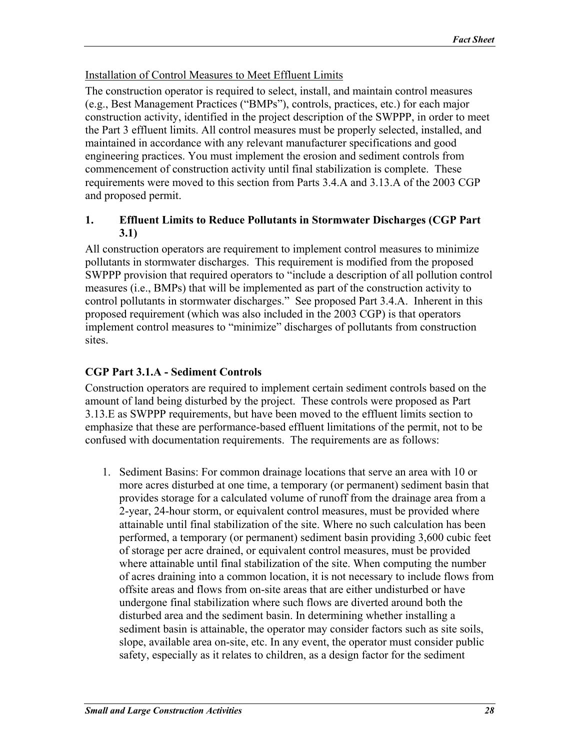### <span id="page-27-0"></span>Installation of Control Measures to Meet Effluent Limits

The construction operator is required to select, install, and maintain control measures (e.g., Best Management Practices ("BMPs"), controls, practices, etc.) for each major construction activity, identified in the project description of the SWPPP, in order to meet the Part 3 effluent limits. All control measures must be properly selected, installed, and maintained in accordance with any relevant manufacturer specifications and good engineering practices. You must implement the erosion and sediment controls from commencement of construction activity until final stabilization is complete. These requirements were moved to this section from Parts 3.4.A and 3.13.A of the 2003 CGP and proposed permit.

#### **1. Effluent Limits to Reduce Pollutants in Stormwater Discharges (CGP Part 3.1)**

All construction operators are requirement to implement control measures to minimize pollutants in stormwater discharges. This requirement is modified from the proposed SWPPP provision that required operators to "include a description of all pollution control measures (i.e., BMPs) that will be implemented as part of the construction activity to control pollutants in stormwater discharges." See proposed Part 3.4.A. Inherent in this proposed requirement (which was also included in the 2003 CGP) is that operators implement control measures to "minimize" discharges of pollutants from construction sites.

# **CGP Part 3.1.A - Sediment Controls**

Construction operators are required to implement certain sediment controls based on the amount of land being disturbed by the project. These controls were proposed as Part 3.13.E as SWPPP requirements, but have been moved to the effluent limits section to emphasize that these are performance-based effluent limitations of the permit, not to be confused with documentation requirements. The requirements are as follows:

1. Sediment Basins: For common drainage locations that serve an area with 10 or more acres disturbed at one time, a temporary (or permanent) sediment basin that provides storage for a calculated volume of runoff from the drainage area from a 2-year, 24-hour storm, or equivalent control measures, must be provided where attainable until final stabilization of the site. Where no such calculation has been performed, a temporary (or permanent) sediment basin providing 3,600 cubic feet of storage per acre drained, or equivalent control measures, must be provided where attainable until final stabilization of the site. When computing the number of acres draining into a common location, it is not necessary to include flows from offsite areas and flows from on-site areas that are either undisturbed or have undergone final stabilization where such flows are diverted around both the disturbed area and the sediment basin. In determining whether installing a sediment basin is attainable, the operator may consider factors such as site soils, slope, available area on-site, etc. In any event, the operator must consider public safety, especially as it relates to children, as a design factor for the sediment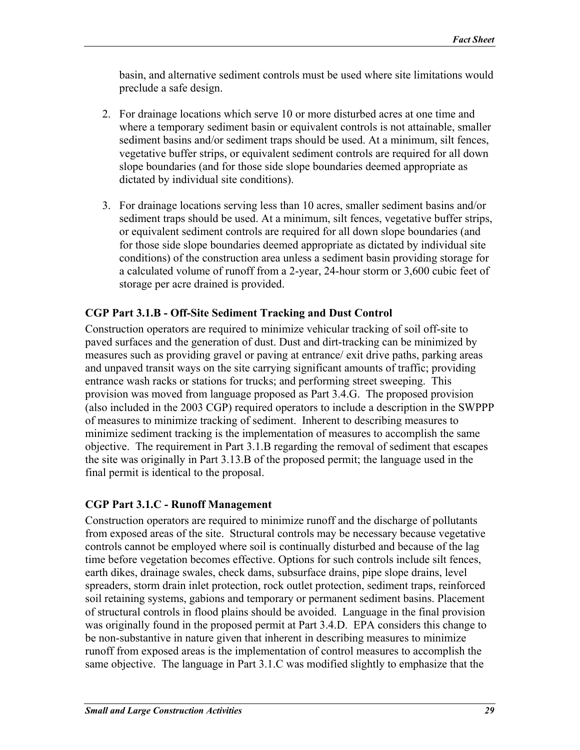basin, and alternative sediment controls must be used where site limitations would preclude a safe design.

- 2. For drainage locations which serve 10 or more disturbed acres at one time and where a temporary sediment basin or equivalent controls is not attainable, smaller sediment basins and/or sediment traps should be used. At a minimum, silt fences, vegetative buffer strips, or equivalent sediment controls are required for all down slope boundaries (and for those side slope boundaries deemed appropriate as dictated by individual site conditions).
- 3. For drainage locations serving less than 10 acres, smaller sediment basins and/or sediment traps should be used. At a minimum, silt fences, vegetative buffer strips, or equivalent sediment controls are required for all down slope boundaries (and for those side slope boundaries deemed appropriate as dictated by individual site conditions) of the construction area unless a sediment basin providing storage for a calculated volume of runoff from a 2-year, 24-hour storm or 3,600 cubic feet of storage per acre drained is provided.

### **CGP Part 3.1.B - Off-Site Sediment Tracking and Dust Control**

Construction operators are required to minimize vehicular tracking of soil off-site to paved surfaces and the generation of dust. Dust and dirt-tracking can be minimized by measures such as providing gravel or paving at entrance/ exit drive paths, parking areas and unpaved transit ways on the site carrying significant amounts of traffic; providing entrance wash racks or stations for trucks; and performing street sweeping. This provision was moved from language proposed as Part 3.4.G. The proposed provision (also included in the 2003 CGP) required operators to include a description in the SWPPP of measures to minimize tracking of sediment. Inherent to describing measures to minimize sediment tracking is the implementation of measures to accomplish the same objective. The requirement in Part 3.1.B regarding the removal of sediment that escapes the site was originally in Part 3.13.B of the proposed permit; the language used in the final permit is identical to the proposal.

### **CGP Part 3.1.C - Runoff Management**

Construction operators are required to minimize runoff and the discharge of pollutants from exposed areas of the site. Structural controls may be necessary because vegetative controls cannot be employed where soil is continually disturbed and because of the lag time before vegetation becomes effective. Options for such controls include silt fences, earth dikes, drainage swales, check dams, subsurface drains, pipe slope drains, level spreaders, storm drain inlet protection, rock outlet protection, sediment traps, reinforced soil retaining systems, gabions and temporary or permanent sediment basins. Placement of structural controls in flood plains should be avoided. Language in the final provision was originally found in the proposed permit at Part 3.4.D. EPA considers this change to be non-substantive in nature given that inherent in describing measures to minimize runoff from exposed areas is the implementation of control measures to accomplish the same objective. The language in Part 3.1.C was modified slightly to emphasize that the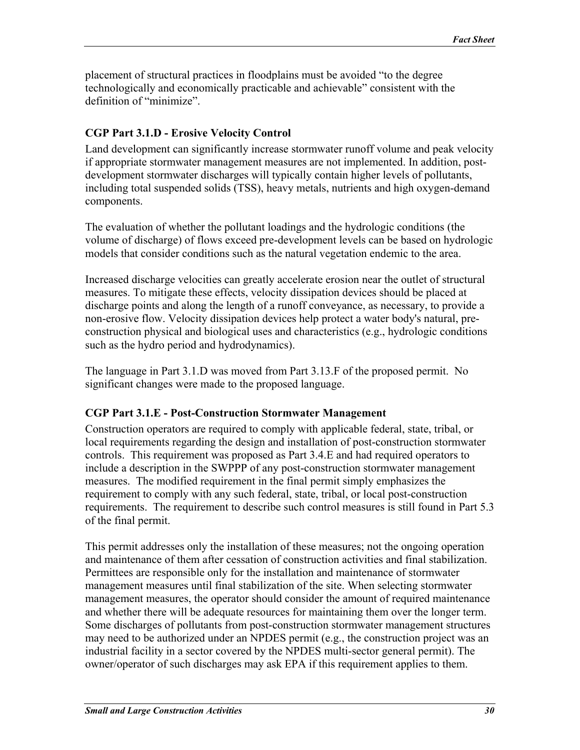placement of structural practices in floodplains must be avoided "to the degree technologically and economically practicable and achievable" consistent with the definition of "minimize".

### **CGP Part 3.1.D - Erosive Velocity Control**

Land development can significantly increase stormwater runoff volume and peak velocity if appropriate stormwater management measures are not implemented. In addition, postdevelopment stormwater discharges will typically contain higher levels of pollutants, including total suspended solids (TSS), heavy metals, nutrients and high oxygen-demand components.

The evaluation of whether the pollutant loadings and the hydrologic conditions (the volume of discharge) of flows exceed pre-development levels can be based on hydrologic models that consider conditions such as the natural vegetation endemic to the area.

Increased discharge velocities can greatly accelerate erosion near the outlet of structural measures. To mitigate these effects, velocity dissipation devices should be placed at discharge points and along the length of a runoff conveyance, as necessary, to provide a non-erosive flow. Velocity dissipation devices help protect a water body's natural, preconstruction physical and biological uses and characteristics (e.g., hydrologic conditions such as the hydro period and hydrodynamics).

The language in Part 3.1.D was moved from Part 3.13.F of the proposed permit. No significant changes were made to the proposed language.

### **CGP Part 3.1.E - Post-Construction Stormwater Management**

Construction operators are required to comply with applicable federal, state, tribal, or local requirements regarding the design and installation of post-construction stormwater controls. This requirement was proposed as Part 3.4.E and had required operators to include a description in the SWPPP of any post-construction stormwater management measures. The modified requirement in the final permit simply emphasizes the requirement to comply with any such federal, state, tribal, or local post-construction requirements. The requirement to describe such control measures is still found in Part 5.3 of the final permit.

This permit addresses only the installation of these measures; not the ongoing operation and maintenance of them after cessation of construction activities and final stabilization. Permittees are responsible only for the installation and maintenance of stormwater management measures until final stabilization of the site. When selecting stormwater management measures, the operator should consider the amount of required maintenance and whether there will be adequate resources for maintaining them over the longer term. Some discharges of pollutants from post-construction stormwater management structures may need to be authorized under an NPDES permit (e.g., the construction project was an industrial facility in a sector covered by the NPDES multi-sector general permit). The owner/operator of such discharges may ask EPA if this requirement applies to them.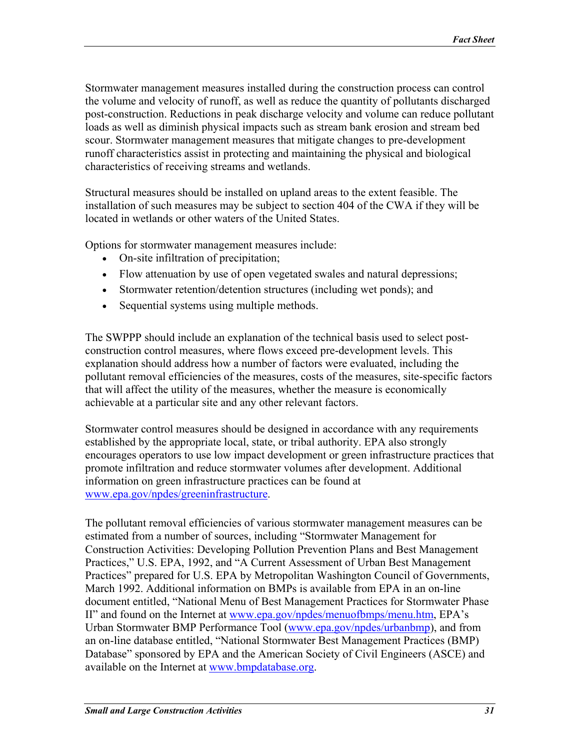Stormwater management measures installed during the construction process can control the volume and velocity of runoff, as well as reduce the quantity of pollutants discharged post-construction. Reductions in peak discharge velocity and volume can reduce pollutant loads as well as diminish physical impacts such as stream bank erosion and stream bed scour. Stormwater management measures that mitigate changes to pre-development runoff characteristics assist in protecting and maintaining the physical and biological characteristics of receiving streams and wetlands.

Structural measures should be installed on upland areas to the extent feasible. The installation of such measures may be subject to section 404 of the CWA if they will be located in wetlands or other waters of the United States.

Options for stormwater management measures include:

- On-site infiltration of precipitation;
- Flow attenuation by use of open vegetated swales and natural depressions;
- Stormwater retention/detention structures (including wet ponds); and
- Sequential systems using multiple methods.

The SWPPP should include an explanation of the technical basis used to select postconstruction control measures, where flows exceed pre-development levels. This explanation should address how a number of factors were evaluated, including the pollutant removal efficiencies of the measures, costs of the measures, site-specific factors that will affect the utility of the measures, whether the measure is economically achievable at a particular site and any other relevant factors.

Stormwater control measures should be designed in accordance with any requirements established by the appropriate local, state, or tribal authority. EPA also strongly encourages operators to use low impact development or green infrastructure practices that promote infiltration and reduce stormwater volumes after development. Additional information on green infrastructure practices can be found at [www.epa.gov/npdes/greeninfrastructure.](http://www.epa.gov/npdes/greeninfrastructure)

The pollutant removal efficiencies of various stormwater management measures can be estimated from a number of sources, including "Stormwater Management for Construction Activities: Developing Pollution Prevention Plans and Best Management Practices," U.S. EPA, 1992, and "A Current Assessment of Urban Best Management Practices" prepared for U.S. EPA by Metropolitan Washington Council of Governments, March 1992. Additional information on BMPs is available from EPA in an on-line document entitled, "National Menu of Best Management Practices for Stormwater Phase II" and found on the Internet at [www.epa.gov/npdes/menuofbmps/menu.htm,](http://www.epa.gov/npdes/menuofbmps/menu.htm) EPA's Urban Stormwater BMP Performance Tool [\(www.epa.gov/npdes/urbanbmp](http://www.epa.gov/npdes/urbanbmp)), and from an on-line database entitled, "National Stormwater Best Management Practices (BMP) Database" sponsored by EPA and the American Society of Civil Engineers (ASCE) and available on the Internet at [www.bmpdatabase.org.](http://www.bmpdatabase.org/)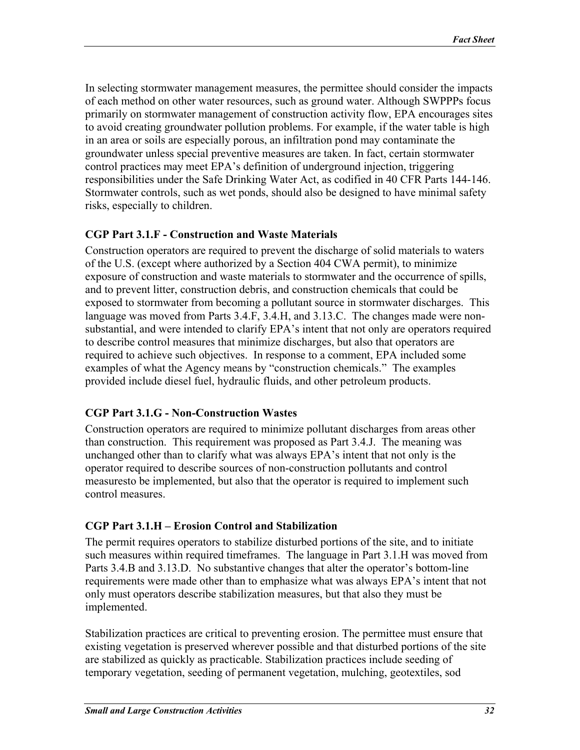In selecting stormwater management measures, the permittee should consider the impacts of each method on other water resources, such as ground water. Although SWPPPs focus primarily on stormwater management of construction activity flow, EPA encourages sites to avoid creating groundwater pollution problems. For example, if the water table is high in an area or soils are especially porous, an infiltration pond may contaminate the groundwater unless special preventive measures are taken. In fact, certain stormwater control practices may meet EPA's definition of underground injection, triggering responsibilities under the Safe Drinking Water Act, as codified in 40 CFR Parts 144-146. Stormwater controls, such as wet ponds, should also be designed to have minimal safety risks, especially to children.

### **CGP Part 3.1.F - Construction and Waste Materials**

Construction operators are required to prevent the discharge of solid materials to waters of the U.S. (except where authorized by a Section 404 CWA permit), to minimize exposure of construction and waste materials to stormwater and the occurrence of spills, and to prevent litter, construction debris, and construction chemicals that could be exposed to stormwater from becoming a pollutant source in stormwater discharges. This language was moved from Parts 3.4.F, 3.4.H, and 3.13.C. The changes made were nonsubstantial, and were intended to clarify EPA's intent that not only are operators required to describe control measures that minimize discharges, but also that operators are required to achieve such objectives. In response to a comment, EPA included some examples of what the Agency means by "construction chemicals." The examples provided include diesel fuel, hydraulic fluids, and other petroleum products.

### **CGP Part 3.1.G - Non-Construction Wastes**

Construction operators are required to minimize pollutant discharges from areas other than construction. This requirement was proposed as Part 3.4.J. The meaning was unchanged other than to clarify what was always EPA's intent that not only is the operator required to describe sources of non-construction pollutants and control measuresto be implemented, but also that the operator is required to implement such control measures.

## **CGP Part 3.1.H – Erosion Control and Stabilization**

The permit requires operators to stabilize disturbed portions of the site, and to initiate such measures within required timeframes. The language in Part 3.1.H was moved from Parts 3.4.B and 3.13.D. No substantive changes that alter the operator's bottom-line requirements were made other than to emphasize what was always EPA's intent that not only must operators describe stabilization measures, but that also they must be implemented.

Stabilization practices are critical to preventing erosion. The permittee must ensure that existing vegetation is preserved wherever possible and that disturbed portions of the site are stabilized as quickly as practicable. Stabilization practices include seeding of temporary vegetation, seeding of permanent vegetation, mulching, geotextiles, sod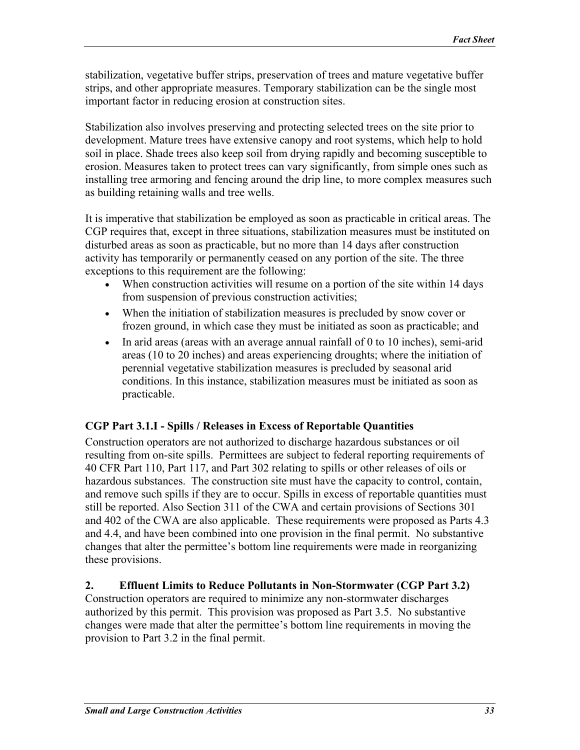<span id="page-32-0"></span>stabilization, vegetative buffer strips, preservation of trees and mature vegetative buffer strips, and other appropriate measures. Temporary stabilization can be the single most important factor in reducing erosion at construction sites.

Stabilization also involves preserving and protecting selected trees on the site prior to development. Mature trees have extensive canopy and root systems, which help to hold soil in place. Shade trees also keep soil from drying rapidly and becoming susceptible to erosion. Measures taken to protect trees can vary significantly, from simple ones such as installing tree armoring and fencing around the drip line, to more complex measures such as building retaining walls and tree wells.

It is imperative that stabilization be employed as soon as practicable in critical areas. The CGP requires that, except in three situations, stabilization measures must be instituted on disturbed areas as soon as practicable, but no more than 14 days after construction activity has temporarily or permanently ceased on any portion of the site. The three exceptions to this requirement are the following:

- When construction activities will resume on a portion of the site within 14 days from suspension of previous construction activities;
- When the initiation of stabilization measures is precluded by snow cover or frozen ground, in which case they must be initiated as soon as practicable; and
- In arid areas (areas with an average annual rainfall of 0 to 10 inches), semi-arid areas (10 to 20 inches) and areas experiencing droughts; where the initiation of perennial vegetative stabilization measures is precluded by seasonal arid conditions. In this instance, stabilization measures must be initiated as soon as practicable.

## **CGP Part 3.1.I - Spills / Releases in Excess of Reportable Quantities**

Construction operators are not authorized to discharge hazardous substances or oil resulting from on-site spills. Permittees are subject to federal reporting requirements of 40 CFR Part 110, Part 117, and Part 302 relating to spills or other releases of oils or hazardous substances. The construction site must have the capacity to control, contain, and remove such spills if they are to occur. Spills in excess of reportable quantities must still be reported. Also Section 311 of the CWA and certain provisions of Sections 301 and 402 of the CWA are also applicable. These requirements were proposed as Parts 4.3 and 4.4, and have been combined into one provision in the final permit. No substantive changes that alter the permittee's bottom line requirements were made in reorganizing these provisions.

### **2. Effluent Limits to Reduce Pollutants in Non-Stormwater (CGP Part 3.2)**

Construction operators are required to minimize any non-stormwater discharges authorized by this permit. This provision was proposed as Part 3.5. No substantive changes were made that alter the permittee's bottom line requirements in moving the provision to Part 3.2 in the final permit.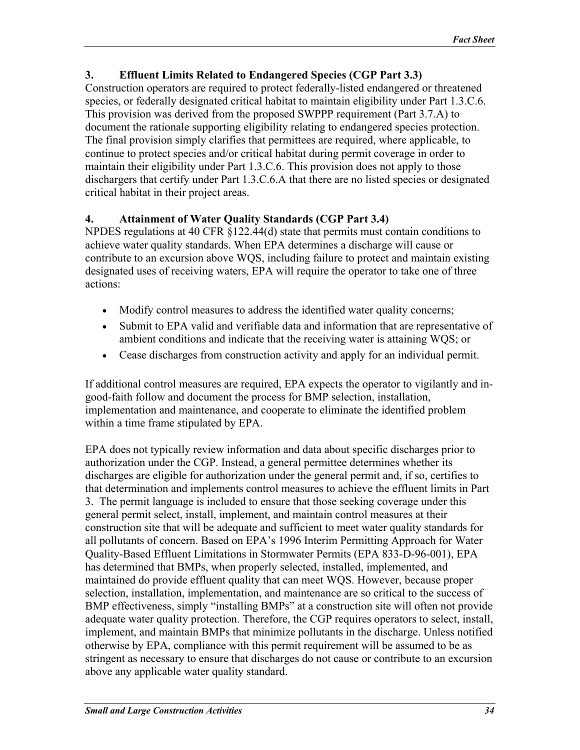### <span id="page-33-0"></span>**3. Effluent Limits Related to Endangered Species (CGP Part 3.3)**

Construction operators are required to protect federally-listed endangered or threatened species, or federally designated critical habitat to maintain eligibility under Part 1.3.C.6. This provision was derived from the proposed SWPPP requirement (Part 3.7.A) to document the rationale supporting eligibility relating to endangered species protection. The final provision simply clarifies that permittees are required, where applicable, to continue to protect species and/or critical habitat during permit coverage in order to maintain their eligibility under Part 1.3.C.6. This provision does not apply to those dischargers that certify under Part 1.3.C.6.A that there are no listed species or designated critical habitat in their project areas.

## **4. Attainment of Water Quality Standards (CGP Part 3.4)**

NPDES regulations at 40 CFR §122.44(d) state that permits must contain conditions to achieve water quality standards. When EPA determines a discharge will cause or contribute to an excursion above WQS, including failure to protect and maintain existing designated uses of receiving waters, EPA will require the operator to take one of three actions:

- Modify control measures to address the identified water quality concerns;
- Submit to EPA valid and verifiable data and information that are representative of ambient conditions and indicate that the receiving water is attaining WQS; or
- Cease discharges from construction activity and apply for an individual permit.

If additional control measures are required, EPA expects the operator to vigilantly and ingood-faith follow and document the process for BMP selection, installation, implementation and maintenance, and cooperate to eliminate the identified problem within a time frame stipulated by EPA.

EPA does not typically review information and data about specific discharges prior to authorization under the CGP. Instead, a general permittee determines whether its discharges are eligible for authorization under the general permit and, if so, certifies to that determination and implements control measures to achieve the effluent limits in Part 3. The permit language is included to ensure that those seeking coverage under this general permit select, install, implement, and maintain control measures at their construction site that will be adequate and sufficient to meet water quality standards for all pollutants of concern. Based on EPA's 1996 Interim Permitting Approach for Water Quality-Based Effluent Limitations in Stormwater Permits (EPA 833-D-96-001), EPA has determined that BMPs, when properly selected, installed, implemented, and maintained do provide effluent quality that can meet WQS. However, because proper selection, installation, implementation, and maintenance are so critical to the success of BMP effectiveness, simply "installing BMPs" at a construction site will often not provide adequate water quality protection. Therefore, the CGP requires operators to select, install, implement, and maintain BMPs that minimize pollutants in the discharge. Unless notified otherwise by EPA, compliance with this permit requirement will be assumed to be as stringent as necessary to ensure that discharges do not cause or contribute to an excursion above any applicable water quality standard.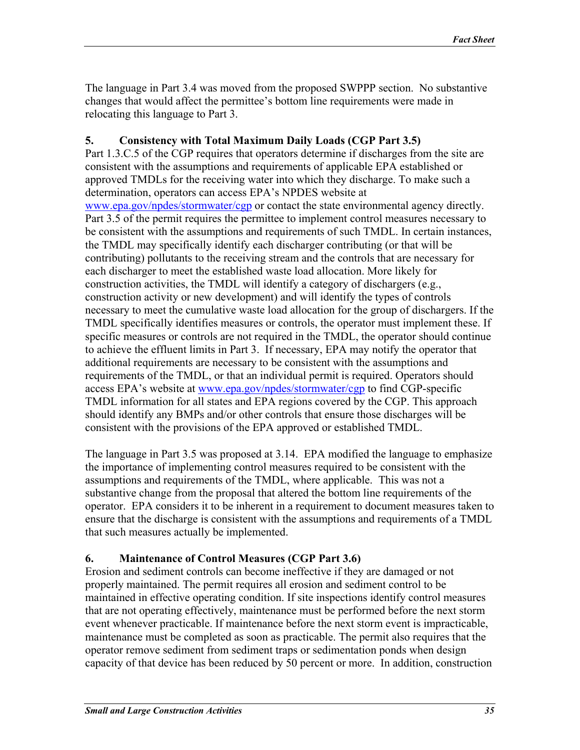<span id="page-34-0"></span>The language in Part 3.4 was moved from the proposed SWPPP section. No substantive changes that would affect the permittee's bottom line requirements were made in relocating this language to Part 3.

### **5. Consistency with Total Maximum Daily Loads (CGP Part 3.5)**

Part 1.3.C.5 of the CGP requires that operators determine if discharges from the site are consistent with the assumptions and requirements of applicable EPA established or approved TMDLs for the receiving water into which they discharge. To make such a determination, operators can access EPA's NPDES website at [www.epa.gov/npdes/stormwater/cgp](http://www.epa.gov/npdes/stormwater/cgp) or contact the state environmental agency directly. Part 3.5 of the permit requires the permittee to implement control measures necessary to be consistent with the assumptions and requirements of such TMDL. In certain instances, the TMDL may specifically identify each discharger contributing (or that will be contributing) pollutants to the receiving stream and the controls that are necessary for each discharger to meet the established waste load allocation. More likely for construction activities, the TMDL will identify a category of dischargers (e.g., construction activity or new development) and will identify the types of controls necessary to meet the cumulative waste load allocation for the group of dischargers. If the TMDL specifically identifies measures or controls, the operator must implement these. If specific measures or controls are not required in the TMDL, the operator should continue to achieve the effluent limits in Part 3. If necessary, EPA may notify the operator that additional requirements are necessary to be consistent with the assumptions and requirements of the TMDL, or that an individual permit is required. Operators should access EPA's website at [www.epa.gov/npdes/stormwater/cgp](http://www.epa.gov/npdes/stormwater/cgp) to find CGP-specific TMDL information for all states and EPA regions covered by the CGP. This approach should identify any BMPs and/or other controls that ensure those discharges will be consistent with the provisions of the EPA approved or established TMDL.

The language in Part 3.5 was proposed at 3.14. EPA modified the language to emphasize the importance of implementing control measures required to be consistent with the assumptions and requirements of the TMDL, where applicable. This was not a substantive change from the proposal that altered the bottom line requirements of the operator. EPA considers it to be inherent in a requirement to document measures taken to ensure that the discharge is consistent with the assumptions and requirements of a TMDL that such measures actually be implemented.

### **6. Maintenance of Control Measures (CGP Part 3.6)**

Erosion and sediment controls can become ineffective if they are damaged or not properly maintained. The permit requires all erosion and sediment control to be maintained in effective operating condition. If site inspections identify control measures that are not operating effectively, maintenance must be performed before the next storm event whenever practicable. If maintenance before the next storm event is impracticable, maintenance must be completed as soon as practicable. The permit also requires that the operator remove sediment from sediment traps or sedimentation ponds when design capacity of that device has been reduced by 50 percent or more. In addition, construction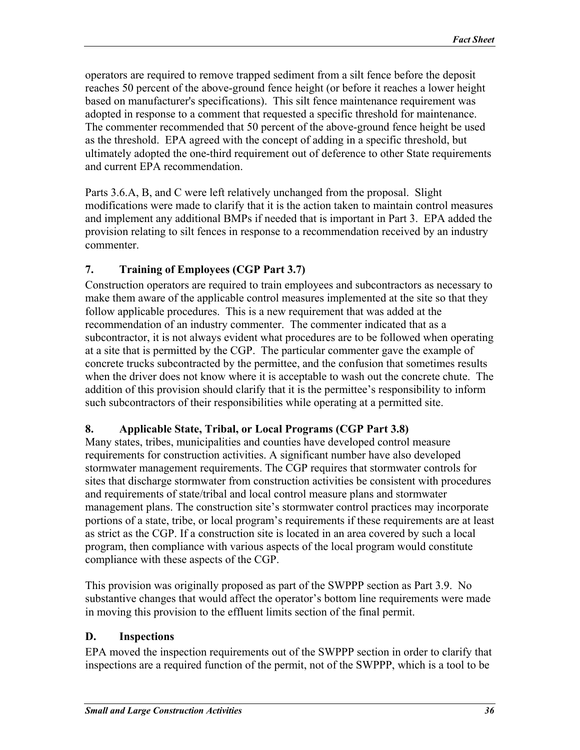<span id="page-35-0"></span>operators are required to remove trapped sediment from a silt fence before the deposit reaches 50 percent of the above-ground fence height (or before it reaches a lower height based on manufacturer's specifications). This silt fence maintenance requirement was adopted in response to a comment that requested a specific threshold for maintenance. The commenter recommended that 50 percent of the above-ground fence height be used as the threshold. EPA agreed with the concept of adding in a specific threshold, but ultimately adopted the one-third requirement out of deference to other State requirements and current EPA recommendation.

Parts 3.6.A, B, and C were left relatively unchanged from the proposal. Slight modifications were made to clarify that it is the action taken to maintain control measures and implement any additional BMPs if needed that is important in Part 3. EPA added the provision relating to silt fences in response to a recommendation received by an industry commenter.

## **7. Training of Employees (CGP Part 3.7)**

Construction operators are required to train employees and subcontractors as necessary to make them aware of the applicable control measures implemented at the site so that they follow applicable procedures. This is a new requirement that was added at the recommendation of an industry commenter. The commenter indicated that as a subcontractor, it is not always evident what procedures are to be followed when operating at a site that is permitted by the CGP. The particular commenter gave the example of concrete trucks subcontracted by the permittee, and the confusion that sometimes results when the driver does not know where it is acceptable to wash out the concrete chute. The addition of this provision should clarify that it is the permittee's responsibility to inform such subcontractors of their responsibilities while operating at a permitted site.

### **8. Applicable State, Tribal, or Local Programs (CGP Part 3.8)**

Many states, tribes, municipalities and counties have developed control measure requirements for construction activities. A significant number have also developed stormwater management requirements. The CGP requires that stormwater controls for sites that discharge stormwater from construction activities be consistent with procedures and requirements of state/tribal and local control measure plans and stormwater management plans. The construction site's stormwater control practices may incorporate portions of a state, tribe, or local program's requirements if these requirements are at least as strict as the CGP. If a construction site is located in an area covered by such a local program, then compliance with various aspects of the local program would constitute compliance with these aspects of the CGP.

This provision was originally proposed as part of the SWPPP section as Part 3.9. No substantive changes that would affect the operator's bottom line requirements were made in moving this provision to the effluent limits section of the final permit.

### **D. Inspections**

EPA moved the inspection requirements out of the SWPPP section in order to clarify that inspections are a required function of the permit, not of the SWPPP, which is a tool to be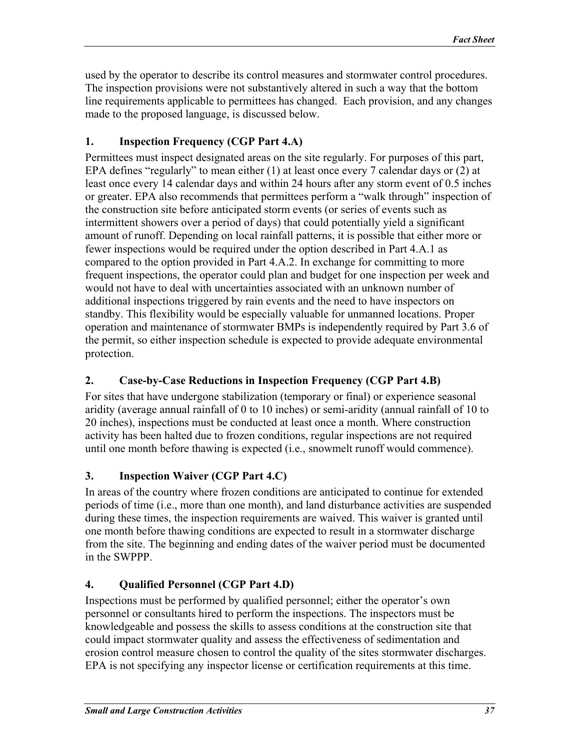<span id="page-36-0"></span>used by the operator to describe its control measures and stormwater control procedures. The inspection provisions were not substantively altered in such a way that the bottom line requirements applicable to permittees has changed. Each provision, and any changes made to the proposed language, is discussed below.

### **1. Inspection Frequency (CGP Part 4.A)**

Permittees must inspect designated areas on the site regularly. For purposes of this part, EPA defines "regularly" to mean either (1) at least once every 7 calendar days or (2) at least once every 14 calendar days and within 24 hours after any storm event of 0.5 inches or greater. EPA also recommends that permittees perform a "walk through" inspection of the construction site before anticipated storm events (or series of events such as intermittent showers over a period of days) that could potentially yield a significant amount of runoff. Depending on local rainfall patterns, it is possible that either more or fewer inspections would be required under the option described in Part 4.A.1 as compared to the option provided in Part 4.A.2. In exchange for committing to more frequent inspections, the operator could plan and budget for one inspection per week and would not have to deal with uncertainties associated with an unknown number of additional inspections triggered by rain events and the need to have inspectors on standby. This flexibility would be especially valuable for unmanned locations. Proper operation and maintenance of stormwater BMPs is independently required by Part 3.6 of the permit, so either inspection schedule is expected to provide adequate environmental protection.

## **2. Case-by-Case Reductions in Inspection Frequency (CGP Part 4.B)**

For sites that have undergone stabilization (temporary or final) or experience seasonal aridity (average annual rainfall of 0 to 10 inches) or semi-aridity (annual rainfall of 10 to 20 inches), inspections must be conducted at least once a month. Where construction activity has been halted due to frozen conditions, regular inspections are not required until one month before thawing is expected (i.e., snowmelt runoff would commence).

## **3. Inspection Waiver (CGP Part 4.C)**

In areas of the country where frozen conditions are anticipated to continue for extended periods of time (i.e., more than one month), and land disturbance activities are suspended during these times, the inspection requirements are waived. This waiver is granted until one month before thawing conditions are expected to result in a stormwater discharge from the site. The beginning and ending dates of the waiver period must be documented in the SWPPP.

# **4. Qualified Personnel (CGP Part 4.D)**

Inspections must be performed by qualified personnel; either the operator's own personnel or consultants hired to perform the inspections. The inspectors must be knowledgeable and possess the skills to assess conditions at the construction site that could impact stormwater quality and assess the effectiveness of sedimentation and erosion control measure chosen to control the quality of the sites stormwater discharges. EPA is not specifying any inspector license or certification requirements at this time.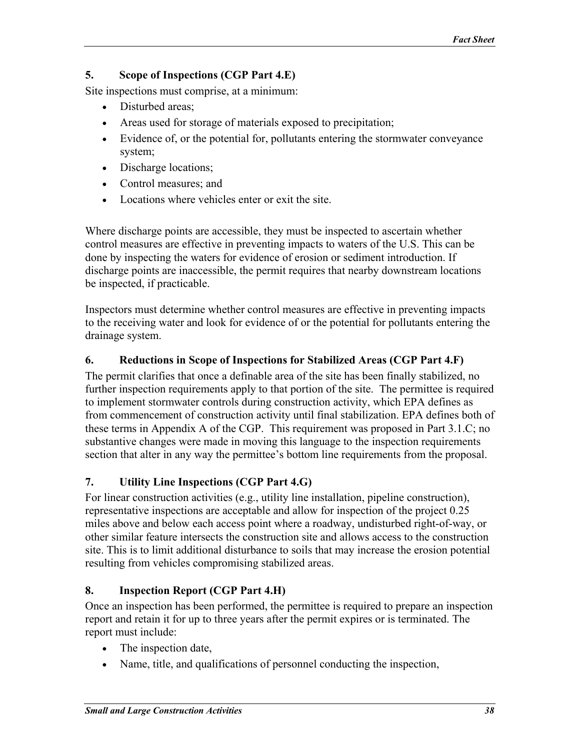### <span id="page-37-0"></span>**5. Scope of Inspections (CGP Part 4.E)**

Site inspections must comprise, at a minimum:

- Disturbed areas;
- Areas used for storage of materials exposed to precipitation;
- Evidence of, or the potential for, pollutants entering the stormwater conveyance system;
- Discharge locations;
- Control measures; and
- Locations where vehicles enter or exit the site.

Where discharge points are accessible, they must be inspected to ascertain whether control measures are effective in preventing impacts to waters of the U.S. This can be done by inspecting the waters for evidence of erosion or sediment introduction. If discharge points are inaccessible, the permit requires that nearby downstream locations be inspected, if practicable.

Inspectors must determine whether control measures are effective in preventing impacts to the receiving water and look for evidence of or the potential for pollutants entering the drainage system.

### **6. Reductions in Scope of Inspections for Stabilized Areas (CGP Part 4.F)**

The permit clarifies that once a definable area of the site has been finally stabilized, no further inspection requirements apply to that portion of the site. The permittee is required to implement stormwater controls during construction activity, which EPA defines as from commencement of construction activity until final stabilization. EPA defines both of these terms in Appendix A of the CGP. This requirement was proposed in Part 3.1.C; no substantive changes were made in moving this language to the inspection requirements section that alter in any way the permittee's bottom line requirements from the proposal.

## **7. Utility Line Inspections (CGP Part 4.G)**

For linear construction activities (e.g., utility line installation, pipeline construction), representative inspections are acceptable and allow for inspection of the project 0.25 miles above and below each access point where a roadway, undisturbed right-of-way, or other similar feature intersects the construction site and allows access to the construction site. This is to limit additional disturbance to soils that may increase the erosion potential resulting from vehicles compromising stabilized areas.

## **8. Inspection Report (CGP Part 4.H)**

Once an inspection has been performed, the permittee is required to prepare an inspection report and retain it for up to three years after the permit expires or is terminated. The report must include:

- The inspection date,
- Name, title, and qualifications of personnel conducting the inspection,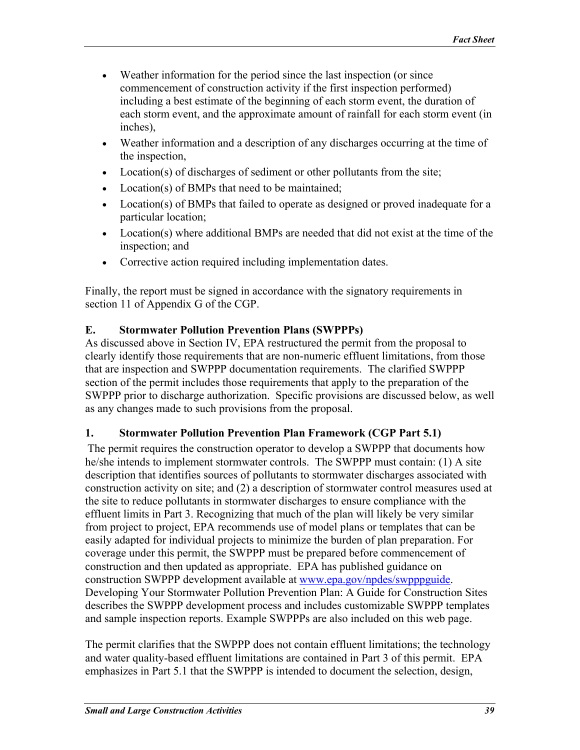- <span id="page-38-0"></span>• Weather information for the period since the last inspection (or since commencement of construction activity if the first inspection performed) including a best estimate of the beginning of each storm event, the duration of each storm event, and the approximate amount of rainfall for each storm event (in inches),
- Weather information and a description of any discharges occurring at the time of the inspection,
- Location(s) of discharges of sediment or other pollutants from the site;
- Location(s) of BMPs that need to be maintained;
- Location(s) of BMPs that failed to operate as designed or proved inadequate for a particular location;
- Location(s) where additional BMPs are needed that did not exist at the time of the inspection; and
- Corrective action required including implementation dates.

Finally, the report must be signed in accordance with the signatory requirements in section 11 of Appendix G of the CGP.

### **E. Stormwater Pollution Prevention Plans (SWPPPs)**

As discussed above in Section IV, EPA restructured the permit from the proposal to clearly identify those requirements that are non-numeric effluent limitations, from those that are inspection and SWPPP documentation requirements. The clarified SWPPP section of the permit includes those requirements that apply to the preparation of the SWPPP prior to discharge authorization. Specific provisions are discussed below, as well as any changes made to such provisions from the proposal.

## **1. Stormwater Pollution Prevention Plan Framework (CGP Part 5.1)**

The permit requires the construction operator to develop a SWPPP that documents how he/she intends to implement stormwater controls. The SWPPP must contain: (1) A site description that identifies sources of pollutants to stormwater discharges associated with construction activity on site; and (2) a description of stormwater control measures used at the site to reduce pollutants in stormwater discharges to ensure compliance with the effluent limits in Part 3. Recognizing that much of the plan will likely be very similar from project to project, EPA recommends use of model plans or templates that can be easily adapted for individual projects to minimize the burden of plan preparation. For coverage under this permit, the SWPPP must be prepared before commencement of construction and then updated as appropriate. EPA has published guidance on construction SWPPP development available at [www.epa.gov/npdes/swpppguide.](http://www.epa.gov/npdes/swpppguide) Developing Your Stormwater Pollution Prevention Plan: A Guide for Construction Sites describes the SWPPP development process and includes customizable SWPPP templates and sample inspection reports. Example SWPPPs are also included on this web page.

The permit clarifies that the SWPPP does not contain effluent limitations; the technology and water quality-based effluent limitations are contained in Part 3 of this permit. EPA emphasizes in Part 5.1 that the SWPPP is intended to document the selection, design,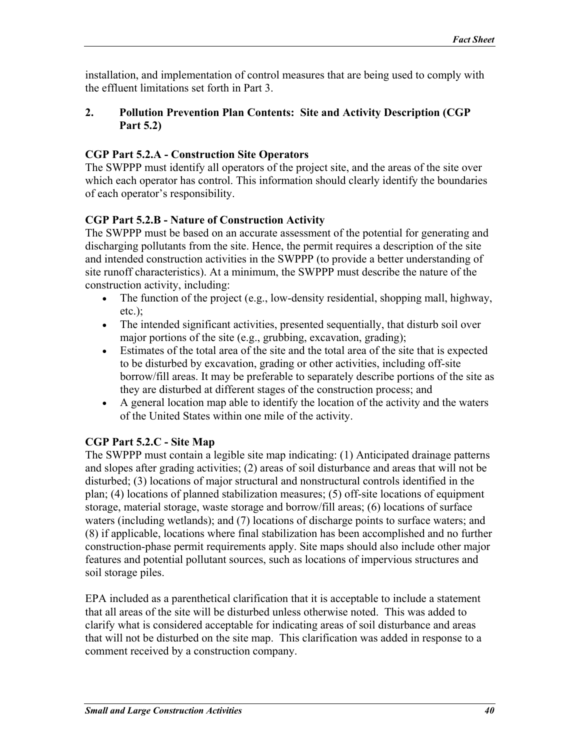<span id="page-39-0"></span>installation, and implementation of control measures that are being used to comply with the effluent limitations set forth in Part 3.

### **2. Pollution Prevention Plan Contents: Site and Activity Description (CGP Part 5.2)**

### **CGP Part 5.2.A - Construction Site Operators**

The SWPPP must identify all operators of the project site, and the areas of the site over which each operator has control. This information should clearly identify the boundaries of each operator's responsibility.

## **CGP Part 5.2.B - Nature of Construction Activity**

The SWPPP must be based on an accurate assessment of the potential for generating and discharging pollutants from the site. Hence, the permit requires a description of the site and intended construction activities in the SWPPP (to provide a better understanding of site runoff characteristics). At a minimum, the SWPPP must describe the nature of the construction activity, including:

- The function of the project  $(e.g., low-density residual, shopping mall, highway,$ etc.);
- The intended significant activities, presented sequentially, that disturb soil over major portions of the site (e.g., grubbing, excavation, grading);
- Estimates of the total area of the site and the total area of the site that is expected to be disturbed by excavation, grading or other activities, including off-site borrow/fill areas. It may be preferable to separately describe portions of the site as they are disturbed at different stages of the construction process; and
- A general location map able to identify the location of the activity and the waters of the United States within one mile of the activity.

## **CGP Part 5.2.C - Site Map**

The SWPPP must contain a legible site map indicating: (1) Anticipated drainage patterns and slopes after grading activities; (2) areas of soil disturbance and areas that will not be disturbed; (3) locations of major structural and nonstructural controls identified in the plan; (4) locations of planned stabilization measures; (5) off-site locations of equipment storage, material storage, waste storage and borrow/fill areas; (6) locations of surface waters (including wetlands); and (7) locations of discharge points to surface waters; and (8) if applicable, locations where final stabilization has been accomplished and no further construction-phase permit requirements apply. Site maps should also include other major features and potential pollutant sources, such as locations of impervious structures and soil storage piles.

EPA included as a parenthetical clarification that it is acceptable to include a statement that all areas of the site will be disturbed unless otherwise noted. This was added to clarify what is considered acceptable for indicating areas of soil disturbance and areas that will not be disturbed on the site map. This clarification was added in response to a comment received by a construction company.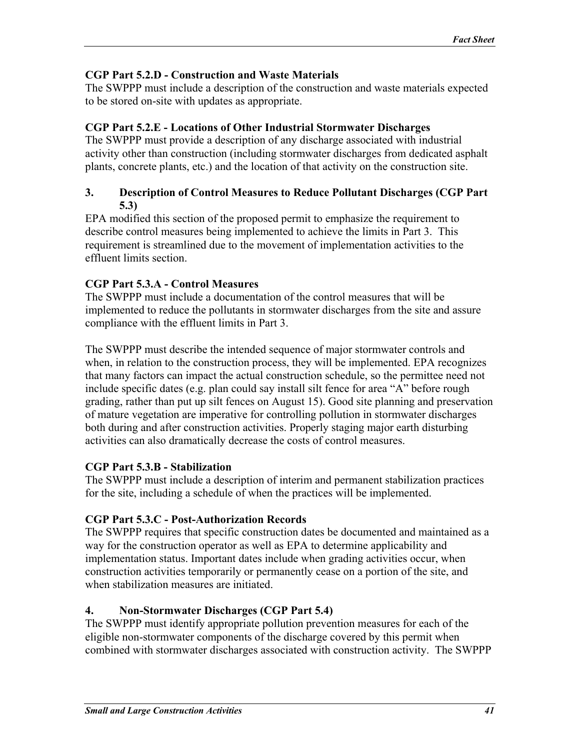### <span id="page-40-0"></span>**CGP Part 5.2.D - Construction and Waste Materials**

The SWPPP must include a description of the construction and waste materials expected to be stored on-site with updates as appropriate.

### **CGP Part 5.2.E - Locations of Other Industrial Stormwater Discharges**

The SWPPP must provide a description of any discharge associated with industrial activity other than construction (including stormwater discharges from dedicated asphalt plants, concrete plants, etc.) and the location of that activity on the construction site.

#### **3. Description of Control Measures to Reduce Pollutant Discharges (CGP Part 5.3)**

EPA modified this section of the proposed permit to emphasize the requirement to describe control measures being implemented to achieve the limits in Part 3. This requirement is streamlined due to the movement of implementation activities to the effluent limits section.

## **CGP Part 5.3.A - Control Measures**

The SWPPP must include a documentation of the control measures that will be implemented to reduce the pollutants in stormwater discharges from the site and assure compliance with the effluent limits in Part 3.

The SWPPP must describe the intended sequence of major stormwater controls and when, in relation to the construction process, they will be implemented. EPA recognizes that many factors can impact the actual construction schedule, so the permittee need not include specific dates (e.g. plan could say install silt fence for area "A" before rough grading, rather than put up silt fences on August 15). Good site planning and preservation of mature vegetation are imperative for controlling pollution in stormwater discharges both during and after construction activities. Properly staging major earth disturbing activities can also dramatically decrease the costs of control measures.

## **CGP Part 5.3.B - Stabilization**

The SWPPP must include a description of interim and permanent stabilization practices for the site, including a schedule of when the practices will be implemented.

## **CGP Part 5.3.C - Post-Authorization Records**

The SWPPP requires that specific construction dates be documented and maintained as a way for the construction operator as well as EPA to determine applicability and implementation status. Important dates include when grading activities occur, when construction activities temporarily or permanently cease on a portion of the site, and when stabilization measures are initiated.

## **4. Non-Stormwater Discharges (CGP Part 5.4)**

The SWPPP must identify appropriate pollution prevention measures for each of the eligible non-stormwater components of the discharge covered by this permit when combined with stormwater discharges associated with construction activity. The SWPPP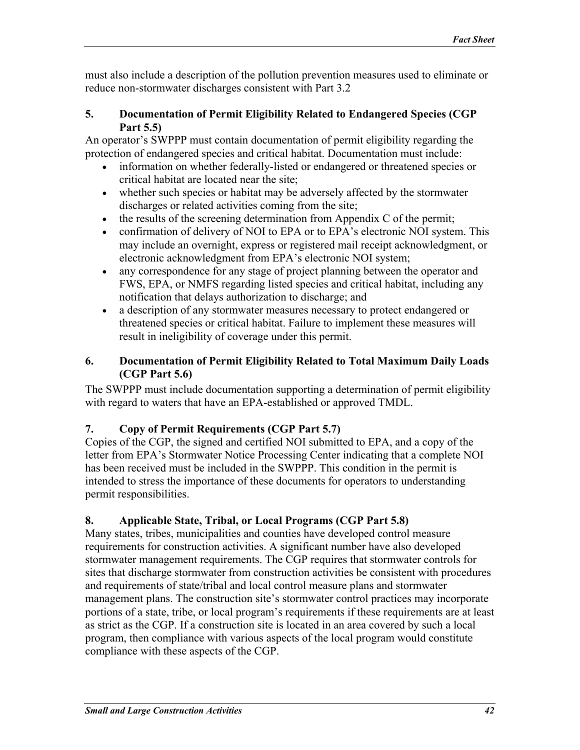<span id="page-41-0"></span>must also include a description of the pollution prevention measures used to eliminate or reduce non-stormwater discharges consistent with Part 3.2

#### **5. Documentation of Permit Eligibility Related to Endangered Species (CGP Part 5.5)**

An operator's SWPPP must contain documentation of permit eligibility regarding the protection of endangered species and critical habitat. Documentation must include:

- information on whether federally-listed or endangered or threatened species or critical habitat are located near the site;
- whether such species or habitat may be adversely affected by the stormwater discharges or related activities coming from the site;
- the results of the screening determination from Appendix C of the permit;
- confirmation of delivery of NOI to EPA or to EPA's electronic NOI system. This may include an overnight, express or registered mail receipt acknowledgment, or electronic acknowledgment from EPA's electronic NOI system;
- any correspondence for any stage of project planning between the operator and FWS, EPA, or NMFS regarding listed species and critical habitat, including any notification that delays authorization to discharge; and
- a description of any stormwater measures necessary to protect endangered or threatened species or critical habitat. Failure to implement these measures will result in ineligibility of coverage under this permit.

## **6. Documentation of Permit Eligibility Related to Total Maximum Daily Loads (CGP Part 5.6)**

The SWPPP must include documentation supporting a determination of permit eligibility with regard to waters that have an EPA-established or approved TMDL.

# **7. Copy of Permit Requirements (CGP Part 5.7)**

Copies of the CGP, the signed and certified NOI submitted to EPA, and a copy of the letter from EPA's Stormwater Notice Processing Center indicating that a complete NOI has been received must be included in the SWPPP. This condition in the permit is intended to stress the importance of these documents for operators to understanding permit responsibilities.

# **8. Applicable State, Tribal, or Local Programs (CGP Part 5.8)**

Many states, tribes, municipalities and counties have developed control measure requirements for construction activities. A significant number have also developed stormwater management requirements. The CGP requires that stormwater controls for sites that discharge stormwater from construction activities be consistent with procedures and requirements of state/tribal and local control measure plans and stormwater management plans. The construction site's stormwater control practices may incorporate portions of a state, tribe, or local program's requirements if these requirements are at least as strict as the CGP. If a construction site is located in an area covered by such a local program, then compliance with various aspects of the local program would constitute compliance with these aspects of the CGP.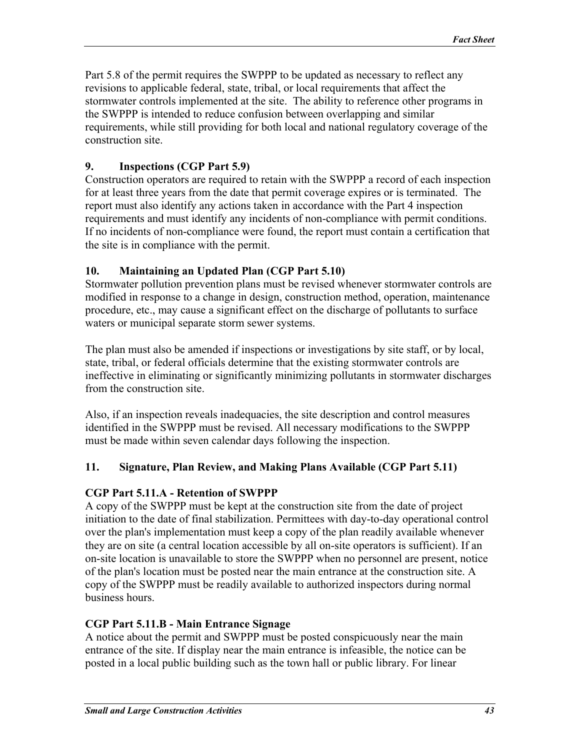<span id="page-42-0"></span>Part 5.8 of the permit requires the SWPPP to be updated as necessary to reflect any revisions to applicable federal, state, tribal, or local requirements that affect the stormwater controls implemented at the site. The ability to reference other programs in the SWPPP is intended to reduce confusion between overlapping and similar requirements, while still providing for both local and national regulatory coverage of the construction site.

### **9. Inspections (CGP Part 5.9)**

Construction operators are required to retain with the SWPPP a record of each inspection for at least three years from the date that permit coverage expires or is terminated. The report must also identify any actions taken in accordance with the Part 4 inspection requirements and must identify any incidents of non-compliance with permit conditions. If no incidents of non-compliance were found, the report must contain a certification that the site is in compliance with the permit.

### **10. Maintaining an Updated Plan (CGP Part 5.10)**

Stormwater pollution prevention plans must be revised whenever stormwater controls are modified in response to a change in design, construction method, operation, maintenance procedure, etc., may cause a significant effect on the discharge of pollutants to surface waters or municipal separate storm sewer systems.

The plan must also be amended if inspections or investigations by site staff, or by local, state, tribal, or federal officials determine that the existing stormwater controls are ineffective in eliminating or significantly minimizing pollutants in stormwater discharges from the construction site.

Also, if an inspection reveals inadequacies, the site description and control measures identified in the SWPPP must be revised. All necessary modifications to the SWPPP must be made within seven calendar days following the inspection.

### **11. Signature, Plan Review, and Making Plans Available (CGP Part 5.11)**

### **CGP Part 5.11.A - Retention of SWPPP**

A copy of the SWPPP must be kept at the construction site from the date of project initiation to the date of final stabilization. Permittees with day-to-day operational control over the plan's implementation must keep a copy of the plan readily available whenever they are on site (a central location accessible by all on-site operators is sufficient). If an on-site location is unavailable to store the SWPPP when no personnel are present, notice of the plan's location must be posted near the main entrance at the construction site. A copy of the SWPPP must be readily available to authorized inspectors during normal business hours.

### **CGP Part 5.11.B - Main Entrance Signage**

A notice about the permit and SWPPP must be posted conspicuously near the main entrance of the site. If display near the main entrance is infeasible, the notice can be posted in a local public building such as the town hall or public library. For linear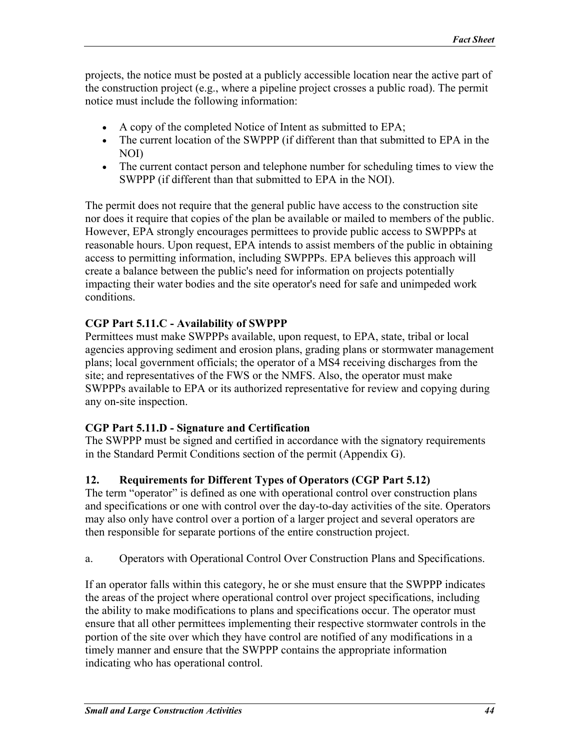<span id="page-43-0"></span>projects, the notice must be posted at a publicly accessible location near the active part of the construction project (e.g., where a pipeline project crosses a public road). The permit notice must include the following information:

- A copy of the completed Notice of Intent as submitted to EPA;
- The current location of the SWPPP (if different than that submitted to EPA in the NOI)
- The current contact person and telephone number for scheduling times to view the SWPPP (if different than that submitted to EPA in the NOI).

The permit does not require that the general public have access to the construction site nor does it require that copies of the plan be available or mailed to members of the public. However, EPA strongly encourages permittees to provide public access to SWPPPs at reasonable hours. Upon request, EPA intends to assist members of the public in obtaining access to permitting information, including SWPPPs. EPA believes this approach will create a balance between the public's need for information on projects potentially impacting their water bodies and the site operator's need for safe and unimpeded work conditions.

# **CGP Part 5.11.C - Availability of SWPPP**

Permittees must make SWPPPs available, upon request, to EPA, state, tribal or local agencies approving sediment and erosion plans, grading plans or stormwater management plans; local government officials; the operator of a MS4 receiving discharges from the site; and representatives of the FWS or the NMFS. Also, the operator must make SWPPPs available to EPA or its authorized representative for review and copying during any on-site inspection.

## **CGP Part 5.11.D - Signature and Certification**

The SWPPP must be signed and certified in accordance with the signatory requirements in the Standard Permit Conditions section of the permit (Appendix G).

# **12. Requirements for Different Types of Operators (CGP Part 5.12)**

The term "operator" is defined as one with operational control over construction plans and specifications or one with control over the day-to-day activities of the site. Operators may also only have control over a portion of a larger project and several operators are then responsible for separate portions of the entire construction project.

a. Operators with Operational Control Over Construction Plans and Specifications.

If an operator falls within this category, he or she must ensure that the SWPPP indicates the areas of the project where operational control over project specifications, including the ability to make modifications to plans and specifications occur. The operator must ensure that all other permittees implementing their respective stormwater controls in the portion of the site over which they have control are notified of any modifications in a timely manner and ensure that the SWPPP contains the appropriate information indicating who has operational control.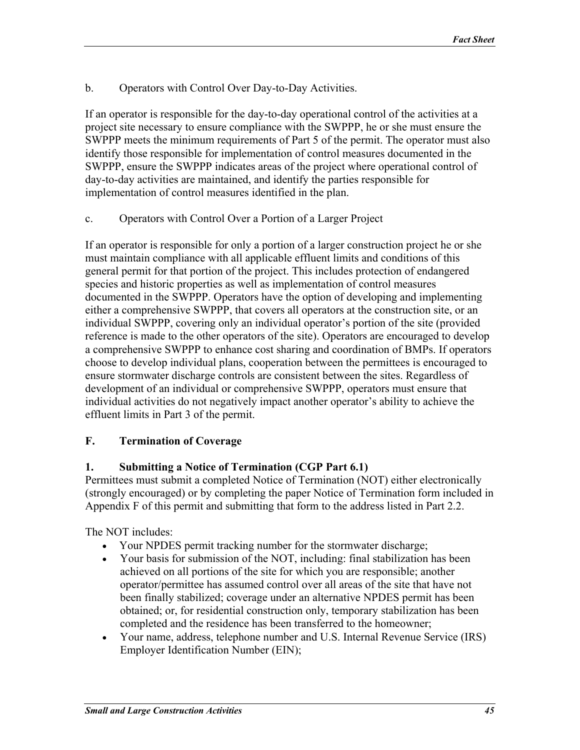<span id="page-44-0"></span>b. Operators with Control Over Day-to-Day Activities.

If an operator is responsible for the day-to-day operational control of the activities at a project site necessary to ensure compliance with the SWPPP, he or she must ensure the SWPPP meets the minimum requirements of Part 5 of the permit. The operator must also identify those responsible for implementation of control measures documented in the SWPPP, ensure the SWPPP indicates areas of the project where operational control of day-to-day activities are maintained, and identify the parties responsible for implementation of control measures identified in the plan.

c. Operators with Control Over a Portion of a Larger Project

If an operator is responsible for only a portion of a larger construction project he or she must maintain compliance with all applicable effluent limits and conditions of this general permit for that portion of the project. This includes protection of endangered species and historic properties as well as implementation of control measures documented in the SWPPP. Operators have the option of developing and implementing either a comprehensive SWPPP, that covers all operators at the construction site, or an individual SWPPP, covering only an individual operator's portion of the site (provided reference is made to the other operators of the site). Operators are encouraged to develop a comprehensive SWPPP to enhance cost sharing and coordination of BMPs. If operators choose to develop individual plans, cooperation between the permittees is encouraged to ensure stormwater discharge controls are consistent between the sites. Regardless of development of an individual or comprehensive SWPPP, operators must ensure that individual activities do not negatively impact another operator's ability to achieve the effluent limits in Part 3 of the permit.

### **F. Termination of Coverage**

#### **1. Submitting a Notice of Termination (CGP Part 6.1)**

Permittees must submit a completed Notice of Termination (NOT) either electronically (strongly encouraged) or by completing the paper Notice of Termination form included in Appendix F of this permit and submitting that form to the address listed in Part 2.2.

The NOT includes:

- Your NPDES permit tracking number for the stormwater discharge;
- Your basis for submission of the NOT, including: final stabilization has been achieved on all portions of the site for which you are responsible; another operator/permittee has assumed control over all areas of the site that have not been finally stabilized; coverage under an alternative NPDES permit has been obtained; or, for residential construction only, temporary stabilization has been completed and the residence has been transferred to the homeowner;
- Your name, address, telephone number and U.S. Internal Revenue Service (IRS) Employer Identification Number (EIN);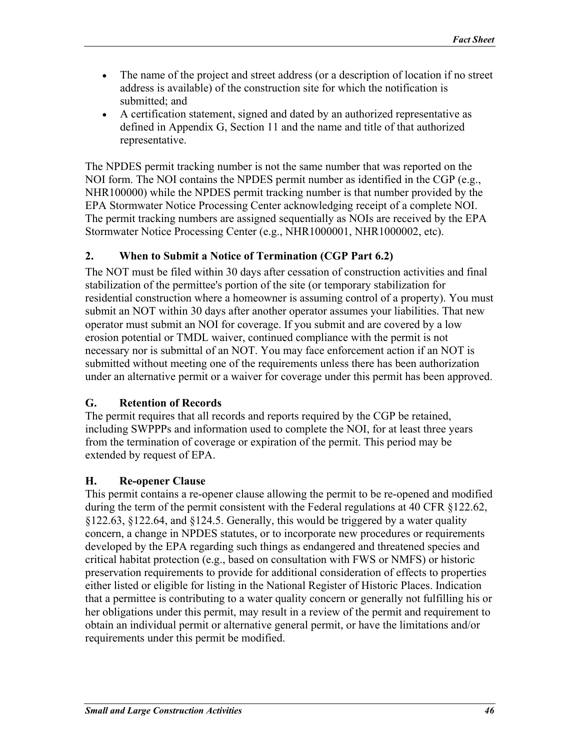- <span id="page-45-0"></span>• The name of the project and street address (or a description of location if no street address is available) of the construction site for which the notification is submitted; and
- A certification statement, signed and dated by an authorized representative as defined in Appendix G, Section 11 and the name and title of that authorized representative.

The NPDES permit tracking number is not the same number that was reported on the NOI form. The NOI contains the NPDES permit number as identified in the CGP (e.g., NHR100000) while the NPDES permit tracking number is that number provided by the EPA Stormwater Notice Processing Center acknowledging receipt of a complete NOI. The permit tracking numbers are assigned sequentially as NOIs are received by the EPA Stormwater Notice Processing Center (e.g., NHR1000001, NHR1000002, etc).

### **2. When to Submit a Notice of Termination (CGP Part 6.2)**

The NOT must be filed within 30 days after cessation of construction activities and final stabilization of the permittee's portion of the site (or temporary stabilization for residential construction where a homeowner is assuming control of a property). You must submit an NOT within 30 days after another operator assumes your liabilities. That new operator must submit an NOI for coverage. If you submit and are covered by a low erosion potential or TMDL waiver, continued compliance with the permit is not necessary nor is submittal of an NOT. You may face enforcement action if an NOT is submitted without meeting one of the requirements unless there has been authorization under an alternative permit or a waiver for coverage under this permit has been approved.

### **G. Retention of Records**

The permit requires that all records and reports required by the CGP be retained, including SWPPPs and information used to complete the NOI, for at least three years from the termination of coverage or expiration of the permit. This period may be extended by request of EPA.

### **H. Re-opener Clause**

This permit contains a re-opener clause allowing the permit to be re-opened and modified during the term of the permit consistent with the Federal regulations at 40 CFR §122.62, §122.63, §122.64, and §124.5. Generally, this would be triggered by a water quality concern, a change in NPDES statutes, or to incorporate new procedures or requirements developed by the EPA regarding such things as endangered and threatened species and critical habitat protection (e.g., based on consultation with FWS or NMFS) or historic preservation requirements to provide for additional consideration of effects to properties either listed or eligible for listing in the National Register of Historic Places. Indication that a permittee is contributing to a water quality concern or generally not fulfilling his or her obligations under this permit, may result in a review of the permit and requirement to obtain an individual permit or alternative general permit, or have the limitations and/or requirements under this permit be modified.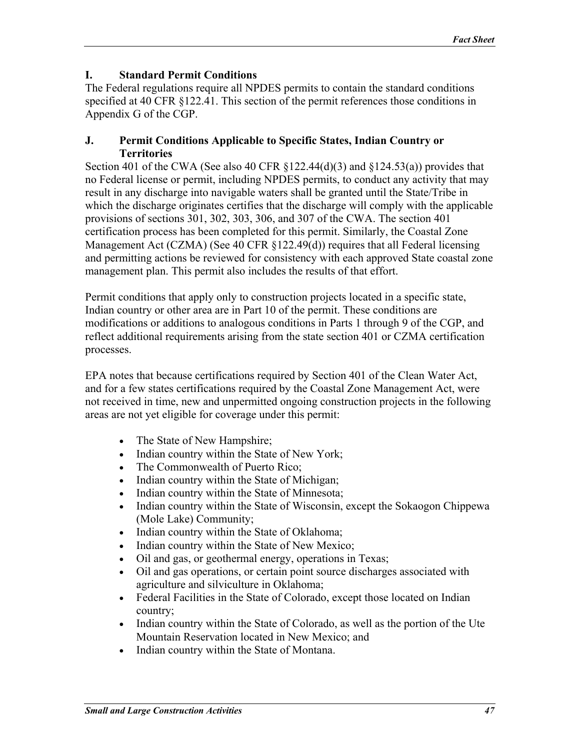#### <span id="page-46-0"></span>**I. Standard Permit Conditions**

The Federal regulations require all NPDES permits to contain the standard conditions specified at 40 CFR §122.41. This section of the permit references those conditions in Appendix G of the CGP.

#### **J. Permit Conditions Applicable to Specific States, Indian Country or Territories**

Section 401 of the CWA (See also 40 CFR  $\S$ 122.44(d)(3) and  $\S$ 124.53(a)) provides that no Federal license or permit, including NPDES permits, to conduct any activity that may result in any discharge into navigable waters shall be granted until the State/Tribe in which the discharge originates certifies that the discharge will comply with the applicable provisions of sections 301, 302, 303, 306, and 307 of the CWA. The section 401 certification process has been completed for this permit. Similarly, the Coastal Zone Management Act (CZMA) (See 40 CFR §122.49(d)) requires that all Federal licensing and permitting actions be reviewed for consistency with each approved State coastal zone management plan. This permit also includes the results of that effort.

Permit conditions that apply only to construction projects located in a specific state, Indian country or other area are in Part 10 of the permit. These conditions are modifications or additions to analogous conditions in Parts 1 through 9 of the CGP, and reflect additional requirements arising from the state section 401 or CZMA certification processes.

EPA notes that because certifications required by Section 401 of the Clean Water Act, and for a few states certifications required by the Coastal Zone Management Act, were not received in time, new and unpermitted ongoing construction projects in the following areas are not yet eligible for coverage under this permit:

- The State of New Hampshire;
- Indian country within the State of New York;
- The Commonwealth of Puerto Rico;
- Indian country within the State of Michigan;
- Indian country within the State of Minnesota;
- Indian country within the State of Wisconsin, except the Sokaogon Chippewa (Mole Lake) Community;
- Indian country within the State of Oklahoma;
- Indian country within the State of New Mexico;
- Oil and gas, or geothermal energy, operations in Texas;
- Oil and gas operations, or certain point source discharges associated with agriculture and silviculture in Oklahoma;
- Federal Facilities in the State of Colorado, except those located on Indian country;
- Indian country within the State of Colorado, as well as the portion of the Ute Mountain Reservation located in New Mexico; and
- Indian country within the State of Montana.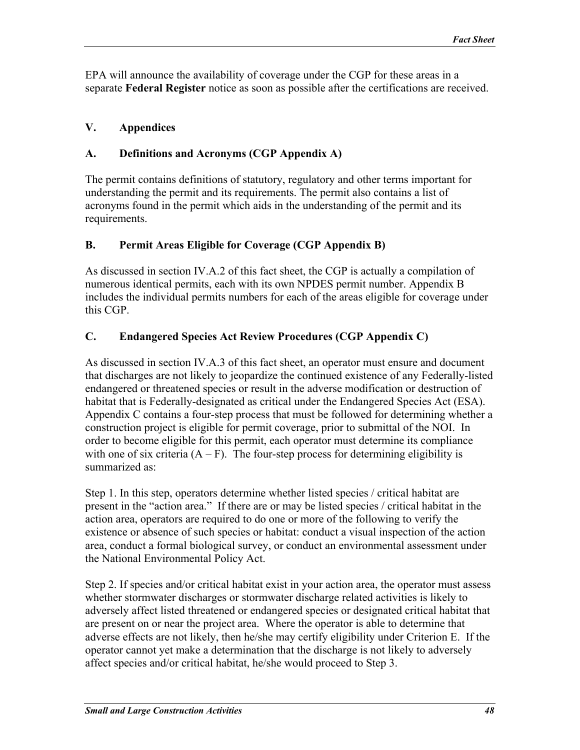<span id="page-47-0"></span>EPA will announce the availability of coverage under the CGP for these areas in a separate **Federal Register** notice as soon as possible after the certifications are received.

### **V. Appendices**

### **A. Definitions and Acronyms (CGP Appendix A)**

The permit contains definitions of statutory, regulatory and other terms important for understanding the permit and its requirements. The permit also contains a list of acronyms found in the permit which aids in the understanding of the permit and its requirements.

### **B. Permit Areas Eligible for Coverage (CGP Appendix B)**

As discussed in section IV.A.2 of this fact sheet, the CGP is actually a compilation of numerous identical permits, each with its own NPDES permit number. Appendix B includes the individual permits numbers for each of the areas eligible for coverage under this CGP.

### **C. Endangered Species Act Review Procedures (CGP Appendix C)**

As discussed in section IV.A.3 of this fact sheet, an operator must ensure and document that discharges are not likely to jeopardize the continued existence of any Federally-listed endangered or threatened species or result in the adverse modification or destruction of habitat that is Federally-designated as critical under the Endangered Species Act (ESA). Appendix C contains a four-step process that must be followed for determining whether a construction project is eligible for permit coverage, prior to submittal of the NOI. In order to become eligible for this permit, each operator must determine its compliance with one of six criteria  $(A - F)$ . The four-step process for determining eligibility is summarized as:

Step 1. In this step, operators determine whether listed species / critical habitat are present in the "action area." If there are or may be listed species / critical habitat in the action area, operators are required to do one or more of the following to verify the existence or absence of such species or habitat: conduct a visual inspection of the action area, conduct a formal biological survey, or conduct an environmental assessment under the National Environmental Policy Act.

Step 2. If species and/or critical habitat exist in your action area, the operator must assess whether stormwater discharges or stormwater discharge related activities is likely to adversely affect listed threatened or endangered species or designated critical habitat that are present on or near the project area. Where the operator is able to determine that adverse effects are not likely, then he/she may certify eligibility under Criterion E. If the operator cannot yet make a determination that the discharge is not likely to adversely affect species and/or critical habitat, he/she would proceed to Step 3.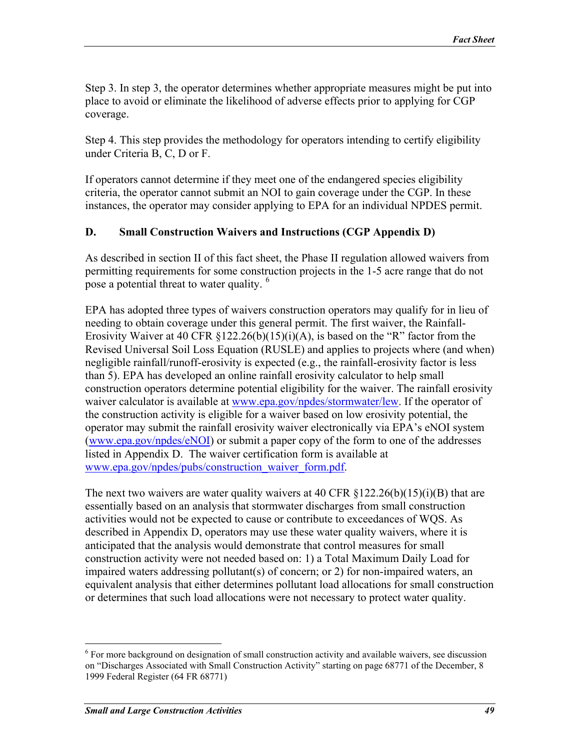<span id="page-48-0"></span>Step 3. In step 3, the operator determines whether appropriate measures might be put into place to avoid or eliminate the likelihood of adverse effects prior to applying for CGP coverage.

Step 4. This step provides the methodology for operators intending to certify eligibility under Criteria B, C, D or F.

If operators cannot determine if they meet one of the endangered species eligibility criteria, the operator cannot submit an NOI to gain coverage under the CGP. In these instances, the operator may consider applying to EPA for an individual NPDES permit.

### **D. Small Construction Waivers and Instructions (CGP Appendix D)**

As described in section II of this fact sheet, the Phase II regulation allowed waivers from permitting requirements for some construction projects in the 1-5 acre range that do not pose a potential threat to water quality. [6](#page-48-1)

EPA has adopted three types of waivers construction operators may qualify for in lieu of needing to obtain coverage under this general permit. The first waiver, the Rainfall-Erosivity Waiver at 40 CFR  $\S 122.26(b)(15)(i)(A)$ , is based on the "R" factor from the Revised Universal Soil Loss Equation (RUSLE) and applies to projects where (and when) negligible rainfall/runoff-erosivity is expected (e.g., the rainfall-erosivity factor is less than 5). EPA has developed an online rainfall erosivity calculator to help small construction operators determine potential eligibility for the waiver. The rainfall erosivity waiver calculator is available at [www.epa.gov/npdes/stormwater/lew.](http://www.epa.gov/npdes/stormwater/lew) If the operator of the construction activity is eligible for a waiver based on low erosivity potential, the operator may submit the rainfall erosivity waiver electronically via EPA's eNOI system ([www.epa.gov/npdes/eNOI\)](http://www.epa.gov/npdes/eNOI) or submit a paper copy of the form to one of the addresses listed in Appendix D. The waiver certification form is available at [www.epa.gov/npdes/pubs/construction\\_waiver\\_form.pdf.](http://www.epa.gov/npdes/pubs/construction_waiver_form.pdf)

The next two waivers are water quality waivers at 40 CFR  $$122.26(b)(15)(i)(B)$  that are essentially based on an analysis that stormwater discharges from small construction activities would not be expected to cause or contribute to exceedances of WQS. As described in Appendix D, operators may use these water quality waivers, where it is anticipated that the analysis would demonstrate that control measures for small construction activity were not needed based on: 1) a Total Maximum Daily Load for impaired waters addressing pollutant(s) of concern; or 2) for non-impaired waters, an equivalent analysis that either determines pollutant load allocations for small construction or determines that such load allocations were not necessary to protect water quality.

 $\overline{a}$ 

<span id="page-48-1"></span><sup>&</sup>lt;sup>6</sup> For more background on designation of small construction activity and available waivers, see discussion on "Discharges Associated with Small Construction Activity" starting on page 68771 of the December, 8 1999 Federal Register (64 FR 68771)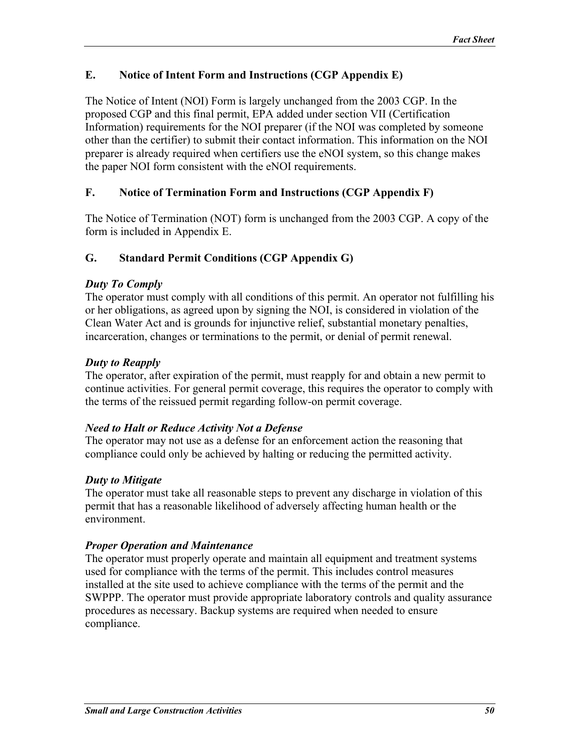### <span id="page-49-0"></span>**E. Notice of Intent Form and Instructions (CGP Appendix E)**

The Notice of Intent (NOI) Form is largely unchanged from the 2003 CGP. In the proposed CGP and this final permit, EPA added under section VII (Certification Information) requirements for the NOI preparer (if the NOI was completed by someone other than the certifier) to submit their contact information. This information on the NOI preparer is already required when certifiers use the eNOI system, so this change makes the paper NOI form consistent with the eNOI requirements.

### **F. Notice of Termination Form and Instructions (CGP Appendix F)**

The Notice of Termination (NOT) form is unchanged from the 2003 CGP. A copy of the form is included in Appendix E.

### **G. Standard Permit Conditions (CGP Appendix G)**

### *Duty To Comply*

The operator must comply with all conditions of this permit. An operator not fulfilling his or her obligations, as agreed upon by signing the NOI, is considered in violation of the Clean Water Act and is grounds for injunctive relief, substantial monetary penalties, incarceration, changes or terminations to the permit, or denial of permit renewal.

### *Duty to Reapply*

The operator, after expiration of the permit, must reapply for and obtain a new permit to continue activities. For general permit coverage, this requires the operator to comply with the terms of the reissued permit regarding follow-on permit coverage.

### *Need to Halt or Reduce Activity Not a Defense*

The operator may not use as a defense for an enforcement action the reasoning that compliance could only be achieved by halting or reducing the permitted activity.

### *Duty to Mitigate*

The operator must take all reasonable steps to prevent any discharge in violation of this permit that has a reasonable likelihood of adversely affecting human health or the environment.

### *Proper Operation and Maintenance*

The operator must properly operate and maintain all equipment and treatment systems used for compliance with the terms of the permit. This includes control measures installed at the site used to achieve compliance with the terms of the permit and the SWPPP. The operator must provide appropriate laboratory controls and quality assurance procedures as necessary. Backup systems are required when needed to ensure compliance.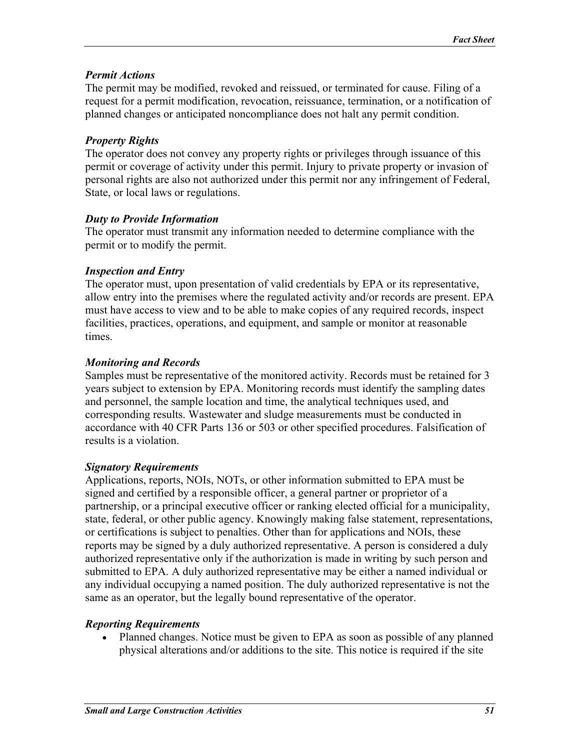### *Permit Actions*

The permit may be modified, revoked and reissued, or terminated for cause. Filing of a request for a permit modification, revocation, reissuance, termination, or a notification of planned changes or anticipated noncompliance does not halt any permit condition.

# *Property Rights*

The operator does not convey any property rights or privileges through issuance of this permit or coverage of activity under this permit. Injury to private property or invasion of personal rights are also not authorized under this permit nor any infringement of Federal, State, or local laws or regulations.

## *Duty to Provide Information*

The operator must transmit any information needed to determine compliance with the permit or to modify the permit.

## *Inspection and Entry*

The operator must, upon presentation of valid credentials by EPA or its representative, allow entry into the premises where the regulated activity and/or records are present. EPA must have access to view and to be able to make copies of any required records, inspect facilities, practices, operations, and equipment, and sample or monitor at reasonable times.

# *Monitoring and Records*

Samples must be representative of the monitored activity. Records must be retained for 3 years subject to extension by EPA. Monitoring records must identify the sampling dates and personnel, the sample location and time, the analytical techniques used, and corresponding results. Wastewater and sludge measurements must be conducted in accordance with 40 CFR Parts 136 or 503 or other specified procedures. Falsification of results is a violation.

# *Signatory Requirements*

Applications, reports, NOIs, NOTs, or other information submitted to EPA must be signed and certified by a responsible officer, a general partner or proprietor of a partnership, or a principal executive officer or ranking elected official for a municipality, state, federal, or other public agency. Knowingly making false statement, representations, or certifications is subject to penalties. Other than for applications and NOIs, these reports may be signed by a duly authorized representative. A person is considered a duly authorized representative only if the authorization is made in writing by such person and submitted to EPA. A duly authorized representative may be either a named individual or any individual occupying a named position. The duly authorized representative is not the same as an operator, but the legally bound representative of the operator.

# *Reporting Requirements*

• Planned changes. Notice must be given to EPA as soon as possible of any planned physical alterations and/or additions to the site. This notice is required if the site